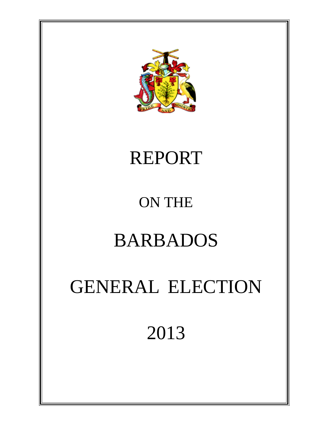

### REPORT

### ON THE

### BARBADOS

## GENERAL ELECTION

### 2013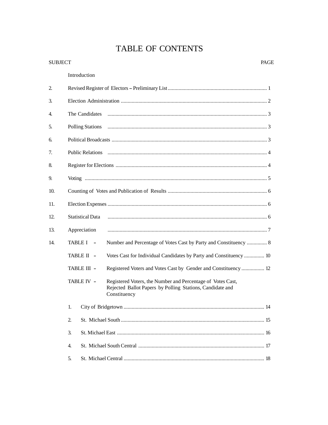### TABLE OF CONTENTS

| <b>SUBJECT</b> |                                                                                                                                                        | PAGE |
|----------------|--------------------------------------------------------------------------------------------------------------------------------------------------------|------|
|                | Introduction                                                                                                                                           |      |
| 2.             |                                                                                                                                                        |      |
| 3.             |                                                                                                                                                        |      |
| 4.             | The Candidates                                                                                                                                         |      |
| 5.             | <b>Polling Stations</b>                                                                                                                                |      |
| 6.             |                                                                                                                                                        |      |
| 7.             | Public Relations (2008) 2014 12:00:00 12:00:00 12:00:00 12:00:00 12:00:00 12:00:00 12:00:00 12:00:00 12:00:00                                          |      |
| 8.             |                                                                                                                                                        |      |
| 9.             |                                                                                                                                                        |      |
| 10.            |                                                                                                                                                        |      |
| 11.            |                                                                                                                                                        |      |
| 12.            | <b>Statistical Data</b>                                                                                                                                |      |
| 13.            | Appreciation                                                                                                                                           |      |
| 14.            | TABLE I –<br>Number and Percentage of Votes Cast by Party and Constituency  8                                                                          |      |
|                | Votes Cast for Individual Candidates by Party and Constituency  10<br>TABLE II -                                                                       |      |
|                | TABLE III -<br>Registered Voters and Votes Cast by Gender and Constituency  12                                                                         |      |
|                | TABLE IV -<br>Registered Voters, the Number and Percentage of Votes Cast,<br>Rejected Ballot Papers by Polling Stations, Candidate and<br>Constituency |      |
|                | 1.                                                                                                                                                     |      |
|                | 2.                                                                                                                                                     |      |
|                | 3.                                                                                                                                                     |      |
|                | 4.                                                                                                                                                     |      |
|                | 5.                                                                                                                                                     |      |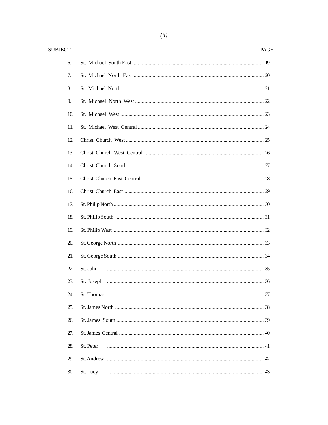| <b>SUBJECT</b> | PAGE      |
|----------------|-----------|
| 6.             |           |
| 7.             |           |
| 8.             |           |
| 9.             |           |
| 10.            |           |
| 11.            |           |
| 12.            |           |
| 13.            |           |
| 14.            |           |
| 15.            |           |
| 16.            |           |
| 17.            |           |
| 18.            |           |
| 19.            |           |
| 20.            |           |
| 21.            |           |
| 22.            | St. John  |
| 23.            |           |
| 24.            |           |
| 25.            |           |
| 26.            |           |
| 27.            |           |
| 28.            | St. Peter |
| 29.            |           |
| 30.            | St. Lucy  |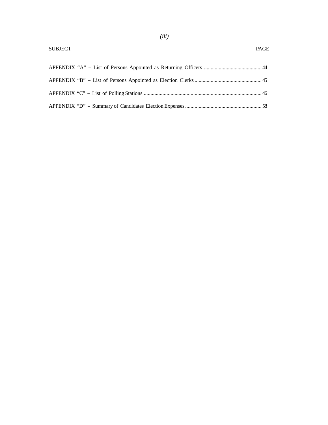| <b>SUBJECT</b> | <b>PAGE</b> |
|----------------|-------------|
|                |             |
|                |             |
|                |             |
|                |             |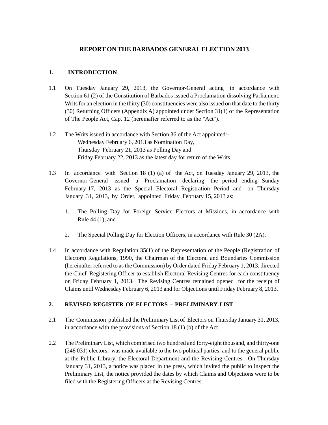#### **REPORT ON THE BARBADOS GENERAL ELECTION 2013**

#### **1. INTRODUCTION**

- 1.1 On Tuesday January 29, 2013, the Governor-General acting in accordance with Section 61 (2) of the Constitution of Barbados issued a Proclamation dissolving Parliament. Writs for an election in the thirty (30) constituencies were also issued on that date to the thirty (30) Returning Officers (Appendix A) appointed under Section 31(1) of the Representation of The People Act, Cap. 12 (hereinafter referred to as the "Act").
- 1.2 The Writs issued in accordance with Section 36 of the Act appointed:- Wednesday February 6, 2013 as Nomination Day, Thursday February 21, 2013 as Polling Day and Friday February 22, 2013 as the latest day for return of the Writs.
- 1.3 In accordance with Section 18 (1) (a) of the Act, on Tuesday January 29, 2013, the Governor-General issued a Proclamation declaring the period ending Sunday February 17, 2013 as the Special Electoral Registration Period and on Thursday January 31, 2013, by Order, appointed Friday February 15, 2013 as:
	- 1. The Polling Day for Foreign Service Electors at Missions, in accordance with Rule 44 (1); and
	- 2. The Special Polling Day for Election Officers, in accordance with Rule 30 (2A).
- 1.4 In accordance with Regulation 35(1) of the Representation of the People (Registration of Electors) Regulations, 1990, the Chairman of the Electoral and Boundaries Commission (hereinafter referred to as the Commission) by Order dated Friday February 1, 2013, directed the Chief Registering Officer to establish Electoral Revising Centres for each constituency on Friday February 1, 2013. The Revising Centres remained opened for the receipt of Claims until Wednesday February 6, 2013 and for Objections until Friday February 8, 2013.

#### 2. REVISED REGISTER OF ELECTORS - PRELIMINARY LIST

- 2.1 The Commission published the Preliminary List of Electors on Thursday January 31, 2013, in accordance with the provisions of Section 18 (1) (b) of the Act.
- 2.2 The Preliminary List, which comprised two hundred and forty-eight thousand, and thirty-one (248 031) electors, was made available to the two political parties, and to the general public at the Public Library, the Electoral Department and the Revising Centres. On Thursday January 31, 2013, a notice was placed in the press, which invited the public to inspect the Preliminary List, the notice provided the dates by which Claims and Objections were to be filed with the Registering Officers at the Revising Centres.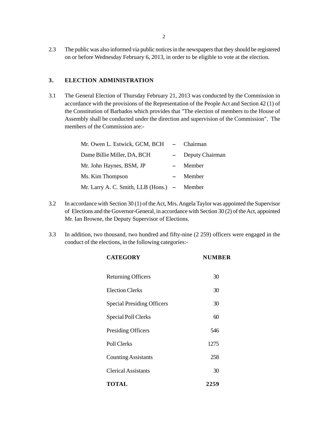2.3 The public was also informed via public notices in the newspapers that they should be registered on or before Wednesday February 6, 2013, in order to be eligible to vote at the election.

#### **3. ELECTION ADMINISTRATION**

3.1 The General Election of Thursday February 21, 2013 was conducted by the Commission in accordance with the provisions of the Representation of the People Act and Section 42 (1) of the Constitution of Barbados which provides that "The election of members to the House of Assembly shall be conducted under the direction and supervision of the Commission". The members of the Commission are:-

| Mr. Owen L. Estwick, GCM, BCH - Chairman    |                          |                 |
|---------------------------------------------|--------------------------|-----------------|
| Dame Billie Miller, DA, BCH                 |                          | Deputy Chairman |
| Mr. John Haynes, BSM, JP                    |                          | Member          |
| Ms. Kim Thompson                            | $\overline{\phantom{0}}$ | Member          |
| Mr. Larry A. C. Smith, LLB (Hons.) – Member |                          |                 |

- 3.2 In accordance with Section 30 (1) of the Act, Mrs. Angela Taylor was appointed the Supervisor of Elections and the Governor-General, in accordance with Section 30 (2) of the Act, appointed Mr. Ian Browne, the Deputy Supervisor of Elections.
- 3.3 In addition, two thousand, two hundred and fifty-nine (2 259) officers were engaged in the conduct of the elections, in the following categories:-

| <b>CATEGORY</b>                   | <b>NUMBER</b> |
|-----------------------------------|---------------|
| <b>Returning Officers</b>         | 30            |
| <b>Election Clerks</b>            | 30            |
| <b>Special Presiding Officers</b> | 30            |
| Special Poll Clerks               | 60            |
| Presiding Officers                | 546           |
| Poll Clerks                       | 1275          |
| <b>Counting Assistants</b>        | 258           |
| Clerical Assistants               | 30            |
| TOTAL                             | 2259          |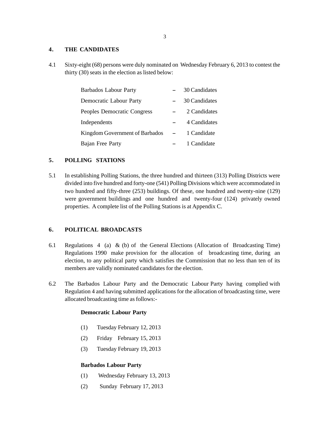#### **4. THE CANDIDATES**

4.1 Sixty-eight (68) persons were duly nominated on Wednesday February 6, 2013 to contest the thirty (30) seats in the election as listed below:

| <b>Barbados Labour Party</b>   | 30 Candidates |
|--------------------------------|---------------|
| Democratic Labour Party        | 30 Candidates |
| Peoples Democratic Congress    | 2 Candidates  |
| Independents                   | 4 Candidates  |
| Kingdom Government of Barbados | 1 Candidate   |
| Bajan Free Party               | 1 Candidate   |

#### **5. POLLING STATIONS**

5.1 In establishing Polling Stations, the three hundred and thirteen (313) Polling Districts were divided into five hundred and forty-one (541) Polling Divisions which were accommodated in two hundred and fifty-three (253) buildings. Of these, one hundred and twenty-nine (129) were government buildings and one hundred and twenty-four (124) privately owned properties. A complete list of the Polling Stations is at Appendix C.

#### **6. POLITICAL BROADCASTS**

- 6.1 Regulations 4 (a) & (b) of the General Elections (Allocation of Broadcasting Time) Regulations 1990 make provision for the allocation of broadcasting time, during an election, to any political party which satisfies the Commission that no less than ten of its members are validly nominated candidates for the election.
- 6.2 The Barbados Labour Party and the Democratic Labour Party having complied with Regulation 4 and having submitted applications for the allocation of broadcasting time, were allocated broadcasting time as follows:-

#### **Democratic Labour Party**

- (1) Tuesday February 12, 2013
- (2) Friday February 15, 2013
- (3) Tuesday February 19, 2013

#### **Barbados Labour Party**

- (1) Wednesday February 13, 2013
- (2) Sunday February 17, 2013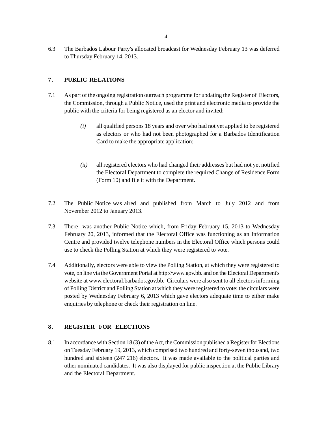6.3 The Barbados Labour Party's allocated broadcast for Wednesday February 13 was deferred to Thursday February 14, 2013.

#### **7. PUBLIC RELATIONS**

- 7.1 As part of the ongoing registration outreach programme for updating the Register of Electors, the Commission, through a Public Notice, used the print and electronic media to provide the public with the criteria for being registered as an elector and invited:
	- *(i)* all qualified persons 18 years and over who had not yet applied to be registered as electors or who had not been photographed for a Barbados Identification Card to make the appropriate application;
	- *(ii)* all registered electors who had changed their addresses but had not yet notified the Electoral Department to complete the required Change of Residence Form (Form 10) and file it with the Department.
- 7.2 The Public Notice was aired and published from March to July 2012 and from November 2012 to January 2013.
- 7.3 There was another Public Notice which, from Friday February 15, 2013 to Wednesday February 20, 2013, informed that the Electoral Office was functioning as an Information Centre and provided twelve telephone numbers in the Electoral Office which persons could use to check the Polling Station at which they were registered to vote.
- 7.4 Additionally, electors were able to view the Polling Station, at which they were registered to vote, on line via the Government Portal at http://www.gov.bb. and on the Electoral Department's website at www.electoral.barbados.gov.bb. Circulars were also sent to all electors informing of Polling District and Polling Station at which they were registered to vote; the circulars were posted by Wednesday February 6, 2013 which gave electors adequate time to either make enquiries by telephone or check their registration on line.

#### **8. REGISTER FOR ELECTIONS**

8.1 In accordance with Section 18 (3) of the Act, the Commission published a Register for Elections on Tuesday February 19, 2013, which comprised two hundred and forty-seven thousand, two hundred and sixteen (247 216) electors. It was made available to the political parties and other nominated candidates. It was also displayed for public inspection at the Public Library and the Electoral Department.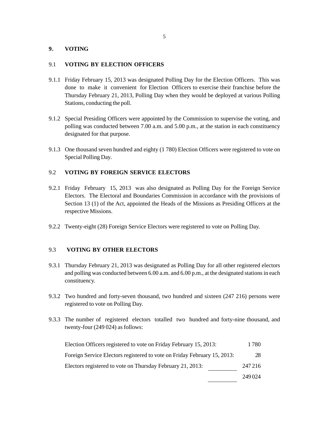#### **9. VOTING**

#### 9.1 **VOTING BY ELECTION OFFICERS**

- 9.1.1 Friday February 15, 2013 was designated Polling Day for the Election Officers. This was done to make it convenient for Election Officers to exercise their franchise before the Thursday February 21, 2013, Polling Day when they would be deployed at various Polling Stations, conducting the poll.
- 9.1.2 Special Presiding Officers were appointed by the Commission to supervise the voting, and polling was conducted between 7.00 a.m. and 5.00 p.m., at the station in each constituency designated for that purpose.
- 9.1.3 One thousand seven hundred and eighty (1 780) Election Officers were registered to vote on Special Polling Day.

#### 9.2 **VOTING BY FOREIGN SERVICE ELECTORS**

- 9.2.1 Friday February 15, 2013 was also designated as Polling Day for the Foreign Service Electors. The Electoral and Boundaries Commission in accordance with the provisions of Section 13 (1) of the Act, appointed the Heads of the Missions as Presiding Officers at the respective Missions.
- 9.2.2 Twenty-eight (28) Foreign Service Electors were registered to vote on Polling Day.

#### 9.3 **VOTING BY OTHER ELECTORS**

- 9.3.1 Thursday February 21, 2013 was designated as Polling Day for all other registered electors and polling was conducted between 6.00 a.m. and 6.00 p.m., at the designated stations in each constituency.
- 9.3.2 Two hundred and forty-seven thousand, two hundred and sixteen (247 216) persons were registered to vote on Polling Day.
- 9.3.3 The number of registered electors totalled two hundred and forty-nine thousand, and twenty-four (249 024) as follows:

| Election Officers registered to vote on Friday February 15, 2013:        | 1780    |
|--------------------------------------------------------------------------|---------|
| Foreign Service Electors registered to vote on Friday February 15, 2013: | 28      |
| Electors registered to vote on Thursday February 21, 2013:               | 247 216 |
|                                                                          | 249024  |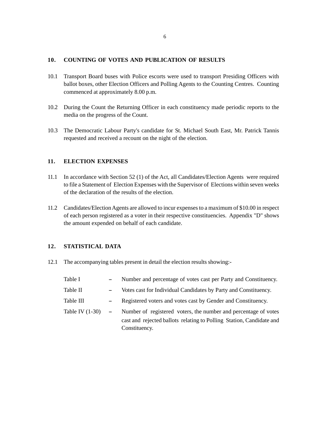#### **10. COUNTING OF VOTES AND PUBLICATION OF RESULTS**

- 10.1 Transport Board buses with Police escorts were used to transport Presiding Officers with ballot boxes, other Election Officers and Polling Agents to the Counting Centres. Counting commenced at approximately 8.00 p.m.
- 10.2 During the Count the Returning Officer in each constituency made periodic reports to the media on the progress of the Count.
- 10.3 The Democratic Labour Party's candidate for St. Michael South East, Mr. Patrick Tannis requested and received a recount on the night of the election.

#### **11. ELECTION EXPENSES**

- 11.1 In accordance with Section 52 (1) of the Act, all Candidates/Election Agents were required to file a Statement of Election Expenses with the Supervisor of Elections within seven weeks of the declaration of the results of the election.
- 11.2 Candidates/Election Agents are allowed to incur expenses to a maximum of \$10.00 in respect of each person registered as a voter in their respective constituencies. Appendix "D" shows the amount expended on behalf of each candidate.

#### **12. STATISTICAL DATA**

12.1 The accompanying tables present in detail the election results showing:-

| Table I           | Number and percentage of votes cast per Party and Constituency.                                                                                          |
|-------------------|----------------------------------------------------------------------------------------------------------------------------------------------------------|
| Table II          | Votes cast for Individual Candidates by Party and Constituency.                                                                                          |
| Table III         | Registered voters and votes cast by Gender and Constituency.                                                                                             |
| Table IV $(1-30)$ | Number of registered voters, the number and percentage of votes<br>cast and rejected ballots relating to Polling Station, Candidate and<br>Constituency. |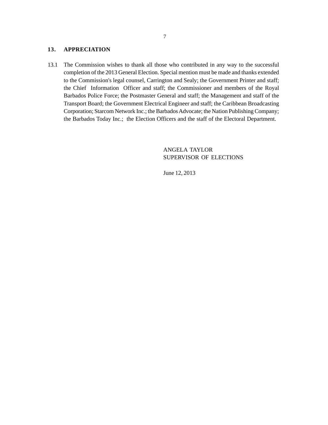#### **13. APPRECIATION**

13.1 The Commission wishes to thank all those who contributed in any way to the successful completion of the 2013 General Election. Special mention must be made and thanks extended to the Commission's legal counsel, Carrington and Sealy; the Government Printer and staff; the Chief Information Officer and staff; the Commissioner and members of the Royal Barbados Police Force; the Postmaster General and staff; the Management and staff of the Transport Board; the Government Electrical Engineer and staff; the Caribbean Broadcasting Corporation; Starcom Network Inc.; the Barbados Advocate; the Nation Publishing Company; the Barbados Today Inc.; the Election Officers and the staff of the Electoral Department.

> ANGELA TAYLOR SUPERVISOR OF ELECTIONS

June 12, 2013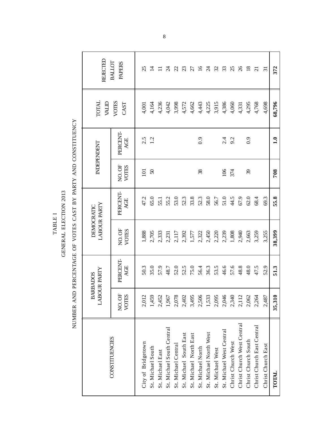TABLE I TABLE I

GENERAL ELECTION 2013 GENERAL ELECTION 2013

NUMBER AND PERCENTAGE OF VOTES CAST BY PARTY AND CONSTITUENCY NUMBER AND PERCENTAGE OF VOTES CAST BY PARTY AND CONSTITUENCY

| <b>REJECTED</b>                        | BALLOT<br><b>PAPERS</b> | 25                 | 그                       |                  | R                         | $\mathcal{Z}$       | $\mathfrak{L}$         | $\mathcal{L}$          | $\overline{5}$    | $\mathcal{Z}$          | $\mathcal{Z}$    | 33                       | 25                 | $\%$                       | $\overline{8}$      | $\overline{z}$             | $\overline{5}$     | 372          |
|----------------------------------------|-------------------------|--------------------|-------------------------|------------------|---------------------------|---------------------|------------------------|------------------------|-------------------|------------------------|------------------|--------------------------|--------------------|----------------------------|---------------------|----------------------------|--------------------|--------------|
| <b>TOTAL</b><br><b>ALID</b>            | VOTES<br>CAST           | 4,001              | 4,164                   | 4,236            | 4,042                     | 3,998               | 4,572                  | 4,662                  | 4,443             | 4,225                  | 3,915            | 4,386                    | 4,060              | 4,331                      | 4,295               | 4,768                      | 4,698              | 68,796       |
| INDEPENDENT                            | PERCENT-<br>AGE         |                    | $2.\overline{5}$<br>1.2 |                  |                           |                     |                        |                        | 0.9               |                        |                  | तं<br>सं                 | 9.2                |                            | 0.9                 |                            |                    | $\mathbf{a}$ |
|                                        | NO.OF<br>VOTES          | $\overline{101}$   | $\boldsymbol{S}$        |                  |                           |                     |                        |                        | 38                |                        |                  | 106                      | 374                |                            | $\mathcal{E}$       |                            |                    | 708          |
|                                        | PERCENT-<br>AGE         | 47.2               | 65.0                    | 55.1             | 55.2                      | 53.0                | 52.3                   | 33.8                   | 52.3              | 58.0                   | 56.7             | 51.0                     | 44.5               | 67.9                       | $62.0$              | 68.4                       | 69.3               | 55.8         |
| <b>LABOUR PARTY</b><br>DEMOCRATIC      | NO.OF<br>VOTES          | 1,888              | 2,705                   | 2,333            | 2,231                     | 2,117               | 2,392                  | 1,577                  | 2,322             | 2,450                  | 2,220            | 2,239                    | 1,808              | 2,940                      | 2,663               | 3,259                      | 3,255              | 38,399       |
| <b>LABOUR PARTY</b><br><b>BARBADOS</b> | PERCENT-<br>AGE         | 50.3               | 35.0                    | 57.9             | 48.7                      | 52.0                | 52.5                   | 75.0                   | 56.4              | 36.3                   | 53.5             | 46.6                     | 57.6               | 48.8                       | 48.0                | 47.5                       | 52.9               | 51.3         |
|                                        | VOTES<br>NO.OF          | 2,012              | 1,459                   | 2,452            | 1,967                     | 2,078               | 2,402                  | 3,495                  | 2,506             | 1,533                  | 2,095            | 2,046                    | 2,340              | 2,112                      | 2,062               | 2,264                      | 2,487              | 35,310       |
| CONSTITUENCIES                         |                         | City of Bridgetown | St. Michael South       | St. Michael East | St. Michael South Central | St. Michael Central | St. Michael South East | St. Michael North East | St. Michael North | St. Michael North West | St. Michael West | St. Michael West Central | Christ Church West | Christ Church West Central | Christ Church South | Christ Church East Central | Christ Church East | TOTAL        |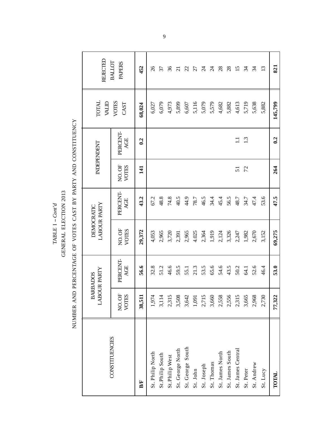TABLE I  $-Com^{\prime}d$ TABLE I -- *Cont'd*

GENERAL ELECTION 2013 GENERAL ELECTION 2013

NUMBER AND PERCENTAGE OF VOTES CAST BY PARTY AND CONSTITUENCY NUMBER AND PERCENTAGE OF VOTES CAST BY PARTY AND CONSTITUENCY

| <b>REJECTED</b>                        | BALLOT<br><b>PAPERS</b>      | 452    | $\delta$         | 57              | 36             | $\overline{c}$   | $\mathcal{Z}$    | $\mathbb{Z}$ | $\mathcal{L}$ | $\overline{\mathcal{A}}$ | $\infty$        | $\infty$        | $\overline{15}$   | $\frac{4}{3}$  | $\frac{4}{3}$ | $\overline{13}$ | 821          |
|----------------------------------------|------------------------------|--------|------------------|-----------------|----------------|------------------|------------------|--------------|---------------|--------------------------|-----------------|-----------------|-------------------|----------------|---------------|-----------------|--------------|
| <b>TOTAL</b>                           | VOTES<br>CAST<br><b>ALID</b> |        | 6,027            | 6,079           | 4,973          | 5,899            | 6,607            | 5,116        | 5,079         | 5,579                    | 4,682           | 5,882           | 4,613             | 5,719          | 5,638         | 5,882           | 145,799      |
| INDEPENDENT                            | PERCENT<br>AGE               | 0.2    |                  |                 |                |                  |                  |              |               |                          |                 |                 | $\Xi$             | $\mathbf{L}^3$ |               |                 | 0.2          |
|                                        | NO.OF<br>VOTES               | 141    |                  |                 |                |                  |                  |              |               |                          |                 |                 | $\overline{51}$   | 72             |               |                 | 264          |
|                                        | PERCENT-<br>AGE              | 43.2   | 67.2             | 48.8            | 74.8           | 40.5             | 44.9             | $78.7$       | 46.5          | 34.4                     | 45.4            | 56.5            | 48.7              | 34.7           | 47.4          | 53.6            | 47.5         |
| <b>LABOUR PARTY</b><br>DEMOCRATIC      | NO.OF<br><b>VOTES</b>        | 29,372 | 4,053            | 2,965           | 3,720          | 2,391            | 2,965            | 4.025        | 2,364         | 1,919                    | 2,124           | 3,326           | 2,247             | 1,982          | 2,670         | 3,152           | 69,275       |
| <b>LABOUR PARTY</b><br><b>BARBADOS</b> | PERCENT-<br>AGE              | 56.6   | 32.8             | 51.2            | 46.6           | 59.5             | 55.1             | 21.3         | 53.5          | 65.6                     | 54.6            | 43.5            | 50.2              | 64.1           | 52.6          | 46.4            | 53.0         |
|                                        | <b>VOTES</b><br>NO.OF        | 38,511 | 1,974            | 3,114           | 2,315          | 3,508            | 3,642            | 1,091        | 2,715         | 3,660                    | 2,558           | 2,556           | 2,315             | 3,665          | 2,968         | 2,730           | 77,322       |
| CONSTITUENCIES                         |                              | BÆ     | St. Philip North | St.Philip South | St.Philip West | St. George North | St. George South | St. John     | St. Joseph    | St. Thomas               | St. James North | St. James South | St. James Central | St. Peter      | St. Andrew    | St. Lucy        | <b>TOTAL</b> |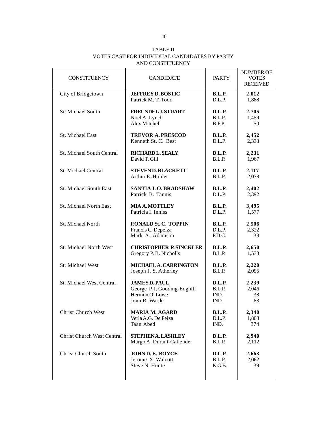| TABLE II                                      |
|-----------------------------------------------|
| VOTES CAST FOR INDIVIDUAL CANDIDATES BY PARTY |
| AND CONSTITUENCY                              |

| <b>CONSTITUENCY</b>               | <b>CANDIDATE</b>               | <b>PARTY</b>  | <b>NUMBER OF</b><br><b>VOTES</b><br><b>RECEIVED</b> |
|-----------------------------------|--------------------------------|---------------|-----------------------------------------------------|
| City of Bridgetown                | <b>JEFFREY D. BOSTIC</b>       | <b>B.L.P.</b> | 2,012                                               |
|                                   | Patrick M. T. Todd             | D.L.P.        | 1,888                                               |
| St. Michael South                 | <b>FREUNDEL J. STUART</b>      | D.L.P.        | 2,705                                               |
|                                   | Noel A. Lynch                  | B.L.P.        | 1,459                                               |
|                                   | Alex Mitchell                  | B.F.P.        | 50                                                  |
| St. Michael East                  | <b>TREVOR A. PRESCOD</b>       | <b>B.L.P.</b> | 2,452                                               |
|                                   | Kenneth St. C. Best            | D.L.P.        | 2,333                                               |
| St. Michael South Central         | <b>RICHARD L. SEALY</b>        | D.L.P.        | 2,231                                               |
|                                   | David T. Gill                  | B.L.P.        | 1,967                                               |
| St. Michael Central               | <b>STEVEN D. BLACKETT</b>      | D.L.P.        | 2,117                                               |
|                                   | Arthur E. Holder               | B.L.P.        | 2,078                                               |
| <b>St. Michael South East</b>     | SANTIA J.O. BRADSHAW           | <b>B.L.P.</b> | 2,402                                               |
|                                   | Patrick B. Tannis              | D.L.P.        | 2,392                                               |
| <b>St. Michael North East</b>     | <b>MIA A. MOTTLEY</b>          | <b>B.L.P.</b> | 3,495                                               |
|                                   | Patricia I. Inniss             | D.L.P.        | 1,577                                               |
| St. Michael North                 | <b>RONALD St. C. TOPPIN</b>    | <b>B.L.P.</b> | 2,506                                               |
|                                   | Francis G. Depeiza             | D.L.P.        | 2,322                                               |
|                                   | Mark A. Adamson                | P.D.C.        | 38                                                  |
| St. Michael North West            | <b>CHRISTOPHER P. SINCKLER</b> | D.L.P.        | 2,650                                               |
|                                   | Gregory P. B. Nicholls         | B.L.P.        | 1,533                                               |
| St. Michael West                  | <b>MICHAEL A. CARRINGTON</b>   | D.L.P.        | 2,220                                               |
|                                   | Joseph J. S. Atherley          | B.L.P.        | 2,095                                               |
| St. Michael West Central          | <b>JAMES D. PAUL</b>           | D.L.P.        | 2,239                                               |
|                                   | George P.I. Gooding-Edghill    | B.L.P.        | 2,046                                               |
|                                   | Hermon O. Lowe                 | IND.          | 38                                                  |
|                                   | Jonn R. Warde                  | IND.          | 68                                                  |
| <b>Christ Church West</b>         | <b>MARIA M. AGARD</b>          | <b>B.L.P.</b> | 2,340                                               |
|                                   | Verla A.G. De Peiza            | D.L.P.        | 1,808                                               |
|                                   | Taan Abed                      | IND.          | 374                                                 |
| <b>Christ Church West Central</b> | <b>STEPHENA. LASHLEY</b>       | <b>D.L.P.</b> | 2,940                                               |
|                                   | Margo A. Durant-Callender      | B.L.P.        | 2,112                                               |
| <b>Christ Church South</b>        | JOHN D.E. BOYCE                | <b>D.L.P.</b> | 2,663                                               |
|                                   | Jerome X. Walcott              | B.L.P.        | 2,062                                               |
|                                   | Steve N. Hunte                 | K.G.B.        | 39                                                  |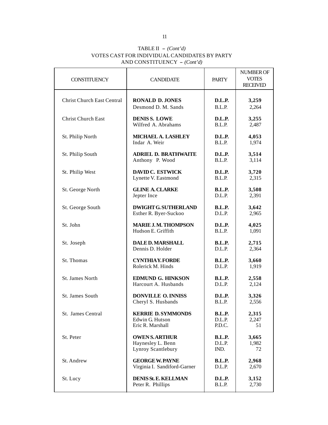#### TABLE II  $-(Cont'd)$ VOTES CAST FOR INDIVIDUAL CANDIDATES BY PARTY AND CONSTITUENCY - *(Cont'd)*

| <b>CONSTITUENCY</b>               | <b>CANDIDATE</b>             | <b>PARTY</b>  | NUMBER OF<br><b>VOTES</b><br><b>RECEIVED</b> |
|-----------------------------------|------------------------------|---------------|----------------------------------------------|
| <b>Christ Church East Central</b> | <b>RONALD D. JONES</b>       | D.L.P.        | 3,259                                        |
|                                   | Desmond D. M. Sands          | B.L.P.        | 2,264                                        |
| <b>Christ Church East</b>         | <b>DENISS. LOWE</b>          | D.L.P.        | 3,255                                        |
|                                   | Wilfred A. Abrahams          | B.L.P.        | 2,487                                        |
| St. Philip North                  | <b>MICHAEL A. LASHLEY</b>    | D.L.P.        | 4,053                                        |
|                                   | Indar A. Weir                | B.L.P.        | 1,974                                        |
| St. Philip South                  | <b>ADRIEL D. BRATHWAITE</b>  | D.L.P.        | 3,514                                        |
|                                   | Anthony P. Wood              | B.L.P.        | 3,114                                        |
| St. Philip West                   | <b>DAVID C. ESTWICK</b>      | D.L.P.        | 3,720                                        |
|                                   | Lynette V. Eastmond          | B.L.P.        | 2,315                                        |
| St. George North                  | <b>GLINE A. CLARKE</b>       | <b>B.L.P.</b> | 3,508                                        |
|                                   | Jepter Ince                  | D.L.P.        | 2,391                                        |
| St. George South                  | <b>DWIGHT G. SUTHERLAND</b>  | <b>B.L.P.</b> | 3,642                                        |
|                                   | Esther R. Byer-Suckoo        | D.L.P.        | 2,965                                        |
| St. John                          | <b>MARIE J. M. THOMPSON</b>  | D.L.P.        | 4,025                                        |
|                                   | Hudson E. Griffith           | B.L.P.        | 1,091                                        |
| St. Joseph                        | <b>DALE D. MARSHALL</b>      | <b>B.L.P.</b> | 2,715                                        |
|                                   | Dennis D. Holder             | D.L.P.        | 2,364                                        |
| St. Thomas                        | <b>CYNTHIAY, FORDE</b>       | <b>B.L.P.</b> | 3,660                                        |
|                                   | Rolerick M. Hinds            | D.L.P.        | 1,919                                        |
| St. James North                   | <b>EDMUND G. HINKSON</b>     | <b>B.L.P.</b> | 2,558                                        |
|                                   | Harcourt A. Husbands         | D.L.P.        | 2,124                                        |
| St. James South                   | <b>DONVILLE O. INNISS</b>    | D.L.P.        | 3,326                                        |
|                                   | Cheryl S. Husbands           | B.L.P.        | 2,556                                        |
| St. James Central                 | <b>KERRIE D. SYMMONDS</b>    | <b>B.L.P.</b> | 2,315                                        |
|                                   | Edwin G. Hutson              | D.L.P.        | 2,247                                        |
|                                   | Eric R. Marshall             | P.D.C.        | 51                                           |
| St. Peter                         | <b>OWEN S. ARTHUR</b>        | <b>B.L.P.</b> | 3,665                                        |
|                                   | Haynesley L. Benn            | D.L.P.        | 1,982                                        |
|                                   | Lynroy Scantlebury           | IND.          | 72                                           |
| St. Andrew                        | <b>GEORGE W. PAYNE</b>       | <b>B.L.P.</b> | 2,968                                        |
|                                   | Virginia I. Sandiford-Garner | D.L.P.        | 2,670                                        |
| St. Lucy                          | <b>DENIS St. E. KELLMAN</b>  | D.L.P.        | 3,152                                        |
|                                   | Peter R. Phillips            | B.L.P.        | 2,730                                        |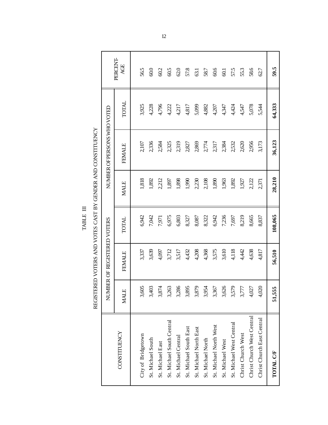TABLE  $\scriptstyle\rm I\!I$ TABLE III

REGISTERED VOTERS AND VOTES CAST BY GENDER AND CONSTITUENCY REGISTERED VOTERS AND VOTES CAST BY GENDER AND CONSTITUENCY

|                            |             | NUMBER OF REGISTERED VOTERS |         |             | NUMBER OF PERSONS WHO VOTED |        |                 |
|----------------------------|-------------|-----------------------------|---------|-------------|-----------------------------|--------|-----------------|
| CONSTITUENCY               | <b>MALE</b> | <b>FEMALE</b>               | TOTAL   | <b>MALE</b> | <b>FEMALE</b>               | TOTAL  | PERCENT-<br>AGE |
|                            |             |                             |         |             |                             |        |                 |
| City of Bridgetown         | 3,605       | 3,337                       | 6,942   | 1,818       | 2,107                       | 3,925  | 565             |
| St. Michael South          | 3,403       | 3,639                       | 7,042   | 1,892       | 2,336                       | 4,228  | $60.0$          |
| St. Michael East           | 3,874       | 4,097                       | 7,971   | 2,212       | 2,584                       | 4,796  | 60.2            |
| St. Michael South Central  | 3,263       | 3,712                       | 6,975   | 1,897       | 2,325                       | 4,222  | 60.5            |
| St. Michael Central        | 3,286       | 3,517                       | 6,803   | 1,898       | 2,319                       | 4,217  | 62.0            |
| St. Michael South East     | 3,895       | 4,432                       | 8,327   | 1,990       | 2,827                       | 4,817  | 57.8            |
| St. Michael North East     | 3,879       | 4,208                       | 8,087   | 2,230       | 2,869                       | 5,099  | 63.1            |
| St. Michael North          | 3,954       | 4,368                       | 8,322   | 2,108       | 2,774                       | 4,882  | 58.7            |
| St. Michael North West     | 3,367       | 3,575                       | 6,942   | 1,890       | 2,317                       | 4,207  | 60.6            |
| St. Michael West           | 3,626       | 3,610                       | 7,236   | 1,963       | 2,384                       | 4,347  | 60.1            |
| St. Michael West Central   | 3,579       | 4,118                       | 7,697   | 1,892       | 2,532                       | 4,424  | 57.5            |
| Christ Church West         | 3,777       | 4,42                        | 8,219   | 1,927       | 2,620                       | 4,547  | 55.3            |
| Christ Church West Central | 4,027       | 4,638                       | 8,665   | 2,122       | 2,956                       | 5,078  | 58.6            |
| Christ Church East Central | 4,020       | 4,817                       | 8,837   | 2,371       | 3,173                       | 5,544  | 62.7            |
| <b>TOTAL CF</b>            | 51,555      | 56,510                      | 108,065 | 28,210      | 36,123                      | 64,333 | 59.5            |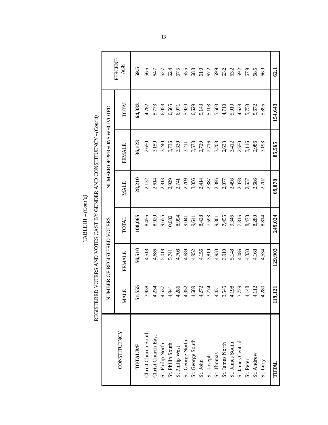| c<br>۱.<br>ŕ |  |
|--------------|--|

| l      |
|--------|
|        |
|        |
| )<br>) |
|        |
|        |
|        |
|        |
|        |
|        |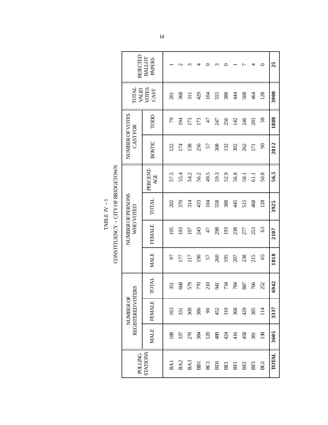| REJECTEL                       | BALLOT<br><b>PAPERS</b> |                     |                 |                  |                  |                 |      |            |                |                 |                  |                 | 25           |
|--------------------------------|-------------------------|---------------------|-----------------|------------------|------------------|-----------------|------|------------|----------------|-----------------|------------------|-----------------|--------------|
| TOTAL<br><b>ALIAV</b>          | VOTES<br>CAST           | $\overline{\Omega}$ | 368             | $\overline{311}$ | 429              | $\overline{5}$  | 555  | 388        | $\overline{4}$ | 508             | 464              | 128             | 3900         |
|                                | TODD                    | 79                  | $\overline{5}$  | 173              | 173              | 47              | 247  | 256        | 142            | 246             | 293              | 38              | 1888         |
| NUMBER OF VOTES<br>CASTFOR     | <b>BOSTIC</b>           | $\overline{2}$      | 174             | 138              | 256              | 57              | 308  | 132        | 302            | 262             | $\overline{171}$ | $\infty$        | 2012         |
|                                | <b>PERCENT</b><br>AGE   | 57.5                | 55.4            | 54.2             | 56.2             | 49.5            | 59.3 | 52.9       | 56.8           | 58.1            | 61.1             | 50.8            | 56.5         |
| NUMBER OF PERSONS<br>WHOVOTED  | <b>TOTAL</b>            | 202                 | 370             | 314              | 433              | 104             | 558  | 388        | 45             | 515             | 468              | 128             | 3925         |
|                                | <b>FEMALE</b>           | 105                 | 193             | 197              | 243              | 47              | 298  | 193        | 238            | 277             | 253              | 63              | 2107         |
|                                | <b>MALE</b>             | 50                  | 177             | 117              | $\mathfrak{g}_1$ | 57              | 260  | 195        | 207            | 238             | 215              | 65              | 1818         |
|                                | <b>TOTAL</b>            | 351                 | 668             | 579              | 770              | 210             | 941  | 734        | 784            | 887             | 766              | 252             | 6942         |
| REGISTERED VOTERS<br>NUMBER OF | <b>FEMALE</b>           | 163                 | 331             | 309              | 386              | 60              | 452  | 310        | 368            | 429             | 385              | $\overline{14}$ | 3337         |
|                                | <b>MALE</b>             | 188                 | 337             | 270              | 384              | $\overline{20}$ | 489  | 424        | 416            | 458             | 381              | 138             | 3605         |
| <b>POLLING</b>                 | STATIONS                | BAI                 | BA <sub>2</sub> | BA3              | <b>BBI</b>       | BCI             | BDI  | <b>BEI</b> | <b>BFI</b>     | BF <sub>2</sub> | BF <sub>3</sub>  | ВGI             | <b>TOTAL</b> |

CONSTITUENCY - CITY OF BRIDGETOWN TABLE IV  $-1$ TABLE IV -- 1

CONSTITUENCY -- CITY OF BRIDGETOWN

14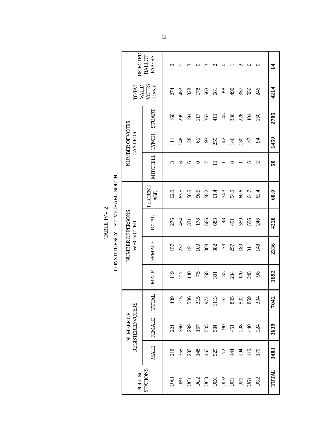| REJECTED                       | BALLOT<br><b>PAPERS</b> |                  |            |                                       |                | m                                                                       |                 |        |             |         | ◠                | ⊂           | $\vec{a}$       |
|--------------------------------|-------------------------|------------------|------------|---------------------------------------|----------------|-------------------------------------------------------------------------|-----------------|--------|-------------|---------|------------------|-------------|-----------------|
| <b>TOTAL</b><br><b>ALID</b>    | VOTES<br>CAST           | 274              | 453        | 328                                   | 178            | 563                                                                     | 681             | $88\,$ | $\sqrt{6}$  | 357     | 556              | 246         | 4214            |
|                                | STUART                  | $\overline{160}$ | 299        | $\overline{5}$                        | 117            | 363                                                                     | $\overline{41}$ | 45     | 336         | 226     | 404              | 150         | 2705            |
| NUMBER OF VOTES<br>CASTFOR     | <b>LYNCH</b>            | Ξ                | 148        | 128                                   | $\overline{6}$ | 193                                                                     | 259             | 42     | 146         | 130     | 147              | 54          | 1459            |
|                                | <b>MITCHELL</b>         | ς                | ७          |                                       |                |                                                                         |                 |        | $_{\infty}$ |         | n                | $\mathbf 2$ | $\overline{50}$ |
|                                | PERCENT<br>AGE          | 62.9             | 63.5       | 56.5                                  | 56.5           | 58.2                                                                    | 61.4            | 54.3   | 54.9        | 60.6    | 64.7             | 62.4        | 60.0            |
| NUMBER OF PERSONS<br>WHOVOTED  | TOTAL                   | 276              | 454        | 331                                   | 178            | 566                                                                     | 683             | $88\,$ | <b>167</b>  | 359     | 556              | 246         | 4228            |
|                                | <b>FEMALE</b>           | 157              | 237        | $\overline{5}$                        | 103            | 308                                                                     | 382             | 53     | 257         | 189     | $\overline{311}$ | 148         | 2336            |
|                                | <b>MALE</b>             | $\overline{19}$  | 217        | $\overline{40}$                       | 75             | 258                                                                     | 501             | 35     | 234         | 170     | 245              | 98          | 1892            |
|                                | <b>TOTAL</b>            | 439              | 715        | 586<br>315<br>972<br>113<br>162<br>95 |                |                                                                         |                 |        |             | 592     | 859              | 394         | 7042            |
| REGISTERED VOTERS<br>NUMBER OF | FEMALE                  | 221              | 360        | 299                                   | 167            | $58\frac{3}{4}$ $8\frac{1}{4}$                                          |                 |        |             | 298     | $\frac{4}{3}$    | 24          | 3639            |
|                                | <b>MALE</b>             |                  | 218<br>355 | 287                                   |                | $\frac{45}{4}$ $\frac{6}{5}$ $\frac{6}{5}$ $\frac{6}{5}$ $\frac{14}{4}$ |                 |        |             | ਲ੍ਹੇ ਦੇ |                  | 170         | 3403            |
| <b>POLLING</b>                 | STATIONS                | UAI              |            | <b>BUUUBBBBB</b>                      |                |                                                                         |                 |        |             |         |                  | UG2         | TOTAL           |

CONSTITUENCY - ST. MICHAEL SOUTH CONSTITUENCY -- ST. MICHAEL SOUTH TABLE IV –  $2$ TABLE IV – 2

15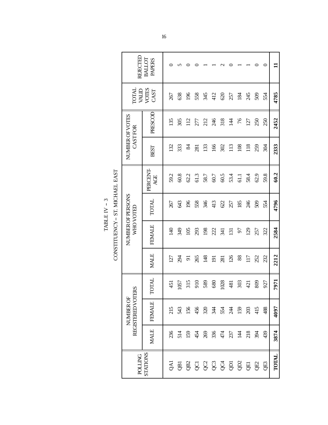| REJECTEL                       | <b>PAPERS</b><br>BALLOT |                  |      |                           |                 |      |                  |                    |                  |                    |      |                 | 0    | Ξ     |
|--------------------------------|-------------------------|------------------|------|---------------------------|-----------------|------|------------------|--------------------|------------------|--------------------|------|-----------------|------|-------|
| TOTAL                          | VALID<br>VOTES<br>CAST  | 267              | 638  | 196                       | 558             | 345  | 412              | 620                | 257              | $\overline{184}$   | 245  | 509             | 554  | 4785  |
| NUMBER OF VOTES<br>CASTFOR     | PRESCOL                 | 135              | 305  | $\frac{12}{1}$            | 277             | 212  | 246              | 318                | $\overline{4}$   | 76                 | 127  | 250             | 250  | 2452  |
|                                | <b>BEST</b>             | $\overline{32}$  | 333  | $\frac{8}{4}$             | $\overline{28}$ | 133  | 166              | 302                | 113              | 108                | 118  | 259             | 304  | 2333  |
|                                | PERCENT-<br>AGE         | 59.2             | 60.8 | 62.2                      | 61.3            | 58.7 | 60.7             | 60.5               | 53.4             | 61.1               | 58.4 | 62.9            | 59.8 | 60.2  |
| NUMBER OF PERSONS<br>WHO VOTED | <b>TOTAL</b>            | 267              | 643  | 196                       | 558             | 346  | 413              | 622                | 257              | 185                | 246  | 509             | 554  | 4796  |
|                                | <b>FEMALE</b>           | $\overline{40}$  | 349  | 105                       | 293             | 198  | 222              | $\overline{341}$   | $\overline{131}$ | 57                 | 29   | 257             | 322  | 2584  |
|                                | <b>MALE</b>             | $\overline{127}$ | 294  | $\overline{5}$            | 265             | 148  | $\overline{191}$ | 281                | 126              | 88                 | 117  | 252             | 232  | 2212  |
|                                | TOTAL                   | 451              | 1057 |                           | $315$<br>$910$  | 589  | 680              | 1028               | 481              | 303                | 421  | 809             | 927  | 7971  |
| REGISTERED VOTERS<br>NUMBER OF | <b>FEMALE</b>           | 215              | 543  | 156                       | 456             | 320  |                  | <u>र्य</u> २५<br>स |                  | 159                | 203  | $\frac{415}{4}$ | 488  | 4097  |
|                                | <b>MALE</b>             | 236              | 514  | 159                       | 454             | 269  | 336              |                    | 474<br>237       | $\frac{14}{4}$ 218 |      | 394             | 439  | 3874  |
| <b>DOLTICE</b>                 | STATIONS                |                  |      | 3 8 8 8 8 8 8 9 8 8 8 9 8 |                 |      |                  |                    |                  |                    |      |                 |      | TOTAL |

CONSTITUENCY - ST. MICHAEL EAST TABLE IV –  $3$  $\texttt{TABLE}\ \text{IV}$  – 3

CONSTITUENCY -- ST. MICHAEL EAST

16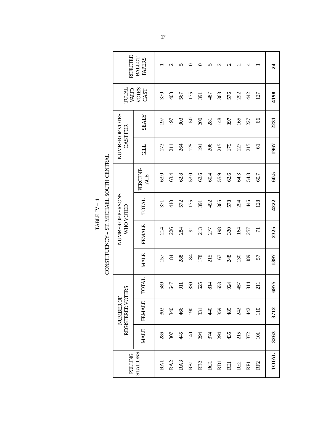CONSTITUENCY - ST. MICHAEL SOUTH CENTRAL TABLE IV –  $4$ TABLE IV -- 4

|                                          | REJECTED                       | BALLOT<br><b>PAPERS</b> |      | $\mathbf{\sim}$ | n      |                |                 | n           | $\mathbf{\sim}$ | $\mathbf 2$ | $\mathbf 2$ | 4    |                 | $\overline{24}$ |
|------------------------------------------|--------------------------------|-------------------------|------|-----------------|--------|----------------|-----------------|-------------|-----------------|-------------|-------------|------|-----------------|-----------------|
|                                          | TOTAL<br>MALID                 | VOTES<br>CAST           | 370  | 408             | 567    | 175            | 391             | 487         | 363             | 576         | 292         | 42   | 127             | 4198            |
|                                          | NUMBER OF VOTES<br>CASTFOR     | <b>ZTATY</b>            | 197  | 197             | 303    | 50             | 200             | 281         | 148             | 397         | 165         | 227  | 66              | 2231            |
|                                          |                                | <b>CHLL</b>             | 173  | $\overline{21}$ | 264    | 125            | 191             | 206         | 215             | 179         | 127         | 215  | $\overline{6}$  | 1967            |
| CONSTITUENCY - ST. MICHAEL SOUTH CENTRAL |                                | PERCENT-<br>AGE         | 63.0 | 63.4            | $62.8$ | 53.0           | 62.6            | 60.4        | 55.9            | 62.6        | 64.3        | 54.8 | 60.7            | 60.5            |
|                                          | NUMBER OF PERSONS<br>WHOVOTED  | <b>TOTAL</b>            | 371  | 410             | 572    | 175            | 391             | 492         | 365             | 578         | 294         | 46   | 128             | 4222            |
|                                          |                                | <b>FEMALE</b>           | 214  | 226             | 284    | $\overline{5}$ | 213             | 277         | 198             | 330         | 164         | 257  | $\overline{7}$  | 2325            |
|                                          |                                | <b>MALE</b>             | 157  | 184             | 288    | 84             | 178             | 215         | 167             | 248         | 130         | 189  | 57              | 1897            |
|                                          |                                | TOTAL                   | 589  | 647             | 911    | 330            | 625             | 814         | 653             | 924         | 457         | 814  | 211             | 6975            |
|                                          | REGISTERED VOTERS<br>NUMBER OF | FEMALE                  | 303  | 340             | 466    | $\overline{5}$ | 331             | $rac{4}{4}$ | 359             | 489         | 242         | 442  | $\frac{10}{11}$ | 3712            |
|                                          |                                | <b>MALE</b>             | 286  | 307             | 445    | $\frac{4}{2}$  | 294             | 374         | 294             | 435         | 215         | 372  | $\Xi$           | 3263            |
|                                          | <b>POLLING</b>                 | <b>STATIONS</b>         | RAI  | RA <sub>2</sub> | RA3    | <b>RBI</b>     | RB <sub>2</sub> | <b>RC1</b>  | RDI             | <b>REI</b>  | RE2         | RFI  | RF <sub>2</sub> | <b>TOTAL</b>    |

╛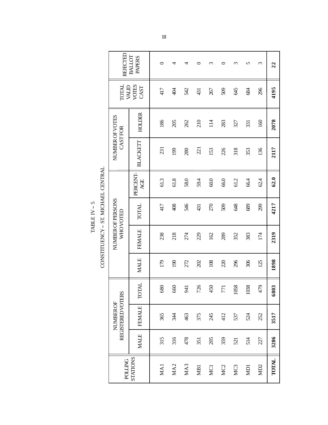CONSTITUENCY - ST. MICHAEL CENTRAL CONSTITUENCY -- ST. MICHAEL CENTRAL TABLE IV -  $5$  $TABLE IV-5$ 

 $\overline{\Gamma}$ 

| REJECTEL                                     | BALLOT<br><b>PAPERS</b> | 0    | 4    | ₹    | 0    | $\epsilon$ | ᅌ               | ξ               | 5          | 3               | 22           |
|----------------------------------------------|-------------------------|------|------|------|------|------------|-----------------|-----------------|------------|-----------------|--------------|
| <b>TOTAL</b><br>MALID                        | <b>VOTES</b><br>CAST    | 417  | 404  | 542  | 431  | 267        | 509             | 645             | 684        | 296             | 4195         |
| NUMBER OF VOTES<br>CASTFOR                   | <b>HOLDER</b>           | 186  | 205  | 262  | 210  | 114        | 283             | 327             | 331        | 160             | 2078         |
|                                              | <b>BLACKETT</b>         | 231  | 199  | 280  | 221  | 153        | 226             | 318             | 353        | 136             | 2117         |
|                                              | PERCENT-<br>AGE         | 61.3 | 61.8 | 58.0 | 59.4 | $60.0$     | 66.0            | 61.2            | 66.4       | 62.4            | 62.0         |
| NUMBER OF PERSONS<br>WHOVOTED                | <b>TOTAL</b>            | 417  | 408  | 546  | 431  | 270        | 509             | 648             | 689        | 299             | 4217         |
|                                              | <b>FEMALE</b>           | 238  | 218  | 274  | 229  | 162        | 289             | 352             | 383        | 174             | 2319         |
|                                              | <b>MALE</b>             | 179  | 190  | 272  | 202  | 108        | 220             | 296             | 306        | 125             | 1898         |
|                                              | <b>TOTAL</b>            | 680  | 660  | 941  | 726  | 450        | 771             | 058             | 038        | 479             | 6803         |
| <b>REGISTERED VOTERS</b><br><b>NUMBER OF</b> | <b>FEMALE</b>           | 365  | 344  | 463  | 375  | 245        | 412             | 537             | 524        | 252             | 3517         |
|                                              | <b>MALE</b>             | 315  | 316  | 478  | 351  | 205        | 359             | 521             | 514        | 227             | 3286         |
| <b>POLLING</b>                               | <b>STATIONS</b>         | MA1  | MA2  | MA3  | MB1  | MC1        | MC <sub>2</sub> | MC <sub>3</sub> | <b>ND1</b> | MD <sub>2</sub> | <b>TOTAL</b> |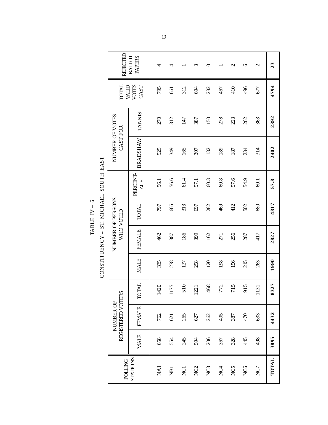CONSTITUENCY - ST. MICHAEL SOUTH EAST CONSTITUENCY -- ST. MICHAEL SOUTH EAST TABLE IV –  $6$ TABLE IV -- 6

|               | REJECTED                       | BALLOT<br><b>PAPERS</b> | 4          | 4              |                | m               | 0               |                 | $\mathcal{C}$ | $\circ$ | $\mathcal{L}$ | 23           |
|---------------|--------------------------------|-------------------------|------------|----------------|----------------|-----------------|-----------------|-----------------|---------------|---------|---------------|--------------|
|               | <b>TOTAL</b><br><b>MID</b>     | VOTES<br>CAST           | 795        | 661            | 312            | 694             | 282             | 467             | 410           | 496     | 677           | 4794         |
|               |                                | <b>TANNIS</b>           | 270        | 312            | 147            | 387             | 150             | 278             | 223           | 262     | 363           | 2392         |
|               | NUMBER OF VOTES<br>CAST FOR    | <b>BRADSHAW</b>         | 525        | 349            | 165            | 307             | 132             | 189             | 187           | 234     | 314           | 2402         |
|               |                                | PERCENT-<br>AGE         | 56.1       | 56.6           | 61.4           | 57.1            | 60.3            | 60.8            | 57.6          | 54.9    | 60.1          | 57.8         |
| $\frac{1}{2}$ | NUMBER OF PERSONS              | <b>TOTAL</b>            | 797        | 665            | 313            | 697             | 282             | 469             | 412           | 502     | 680           | 4817         |
| )<br>]<br>]   | WHO VOTED                      | <b>FEMALE</b>           | 462        | 387            | 186            | 399             | 162             | 271             | 256           | 287     | 417           | 2827         |
|               |                                | <b>MALE</b>             | 335        | 278            | 127            | 298             | $\overline{20}$ | 198             | 156           | 215     | 263           | 1990         |
|               |                                | <b>TOTAL</b>            | 1420       | 175            | 510            | 1221            | 468             | 772             | 715           | 915     | 131           | 8327         |
|               | REGISTERED VOTERS<br>NUMBER OF | <b>FEMALE</b>           | 762        | 621            | 265            | 627             | 262             | 405             | 387           | 470     | 633           | 4432         |
|               |                                | <b>MALE</b>             | 658        | 554            | 245            | 594             | 206             | 367             | 328           | 445     | 498           | 3895         |
|               | <b>POLLING</b>                 | STATIONS                | <b>NA1</b> | $\overline{B}$ | $\overline{C}$ | NC <sub>2</sub> | NC <sub>3</sub> | NC <sub>4</sub> | NC5           | NC6     | NC7           | <b>TOTAL</b> |

#### 19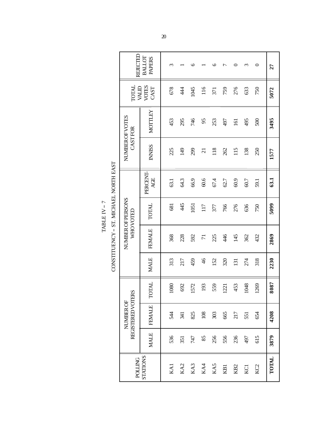| REJECTEL                                     | BALLOT<br><b>PAPERS</b> | 3                  |                 | ७    |                | ७    | 冖               |                 | ς    | 0               | 27    |
|----------------------------------------------|-------------------------|--------------------|-----------------|------|----------------|------|-----------------|-----------------|------|-----------------|-------|
| TOTAL<br>MID                                 | VOTES<br>CAST           | 678                | $\frac{44}{3}$  | 1045 | 116            | 371  | 759             | 276             | 633  | 750             | 5072  |
|                                              | <b>MOTTLEY</b>          | 453                | 295             | 746  | 95             | 253  | 497             | $\overline{5}$  | 495  | 500             | 3495  |
| NUMBER OF VOTES<br>CASTFOR                   | <b>INNISS</b>           | 225                | 149             | 299  | $\overline{c}$ | 118  | 262             | 115             | 138  | 250             | 1577  |
|                                              | PERCENT-<br>AGE         | 63.1               | 64.3            | 66.9 | 60.6           | 67.4 | 62.7            | 60.9            | 60.7 | 59.1            | 63.1  |
| NUMBER OF PERSONS<br>WHO VOTED               | <b>TOTAL</b>            | 681                | 445             | 1051 | 117            | 377  | 766             | 276             | 636  | 750             | 5099  |
|                                              | <b>FEMALE</b>           | 368                | 228             | 592  | $\overline{7}$ | 225  | 446             | 145             | 362  | 432             | 2869  |
|                                              | <b>MALE</b>             | 313                | 217             | 459  | $\frac{4}{6}$  | 152  | 320             | 131             | 274  | 318             | 2230  |
|                                              | <b>TOTAL</b>            | 1080               | 692             | 572  | 193            | 559  | 1221            | 453             | 1048 | 1269            | 8087  |
| <b>REGISTERED VOTERS</b><br><b>NUMBER OF</b> | <b>FEMALE</b>           | 544                | 341             | 825  | 108            | 303  | 665             | 217             | 551  | 654             | 4208  |
|                                              | <b>MALE</b>             | 536                | 351             | 747  | 85             | 256  | 556             | 236             | 497  | 615             | 3879  |
| <b>POLLING</b>                               | <b>STATIONS</b>         | $K$ A <sub>1</sub> | KA <sub>2</sub> | KA3  | KA4            | KA5  | KB <sub>1</sub> | KB <sub>2</sub> | KC1  | KC <sub>2</sub> | TOTAL |

 $\begin{array}{lll} \text{CONSTITUENCY}-\text{ST.} \text{MICHAEL NORTH EAST} \end{array}$ CONSTITUENCY -- ST. MICHAEL NORTH EAST TABLE IV –  $7$ TABLE IV -- 7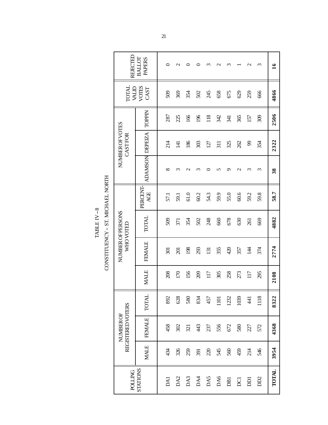CONSTITUENCY - ST. MICHAEL NORTH CONSTITUENCY -- ST. MICHAEL NORTH TABLE IV  $8\,$ TABLE IV -- 8

| REJECTED                              | BALLOT<br><b>PAPERS</b> | 0              | $\mathbf{\sim}$ |                  |          | ∾                | $\mathbf{\sim}$ | $\omega$   |               | $\sim$                      | $\omega$ | $\tilde{16}$ |
|---------------------------------------|-------------------------|----------------|-----------------|------------------|----------|------------------|-----------------|------------|---------------|-----------------------------|----------|--------------|
| MALID<br><b>TOTAL</b>                 | VOTES<br>CAST           | 509            | 369             | 354              | 502      | 245              | 658             | 675        | 629           | 259                         | 666      | 4866         |
|                                       | <b>TOPPIN</b>           | 287            | 225             | 166              | 196      | 118              | 342             | 341        | 365           | 157                         | 309      | 2506         |
| NUMBER OF VOTES<br>CASTFOR            |                         | 214            | $\overline{4}$  | 186              | 303      | 127              | 311             | 325        | 262           | $\mathcal{S}^{\mathcal{S}}$ | 354      | 2322         |
|                                       | <b>ADAMSON DEPEZA</b>   | $\infty$       | $\omega$        | $\mathrel{\sim}$ | $\omega$ |                  | n               | ᡋ          | $\mathcal{C}$ | S                           | ξ        | 38           |
|                                       | PERCENT-<br>AGE         | 57.1           | 59.1            | 61.0             | 60.2     | 54.3             | 59.9            | 55.0       | 60.6          | 59.2                        | 59.8     | 58.7         |
| NUMBER OF PERSONS<br><b>WHOVOTED</b>  | TOTAL                   | 509            | 371             | 354              | 502      | 248              | 660             | 678        | 630           | 261                         | 669      | 4882         |
|                                       | <b>FEMALE</b>           | $\overline{5}$ | $\overline{5}$  | 198              | 293      | $\overline{131}$ | 355             | 420        | 357           | $\overline{4}$              | 374      | 2774         |
|                                       | <b>MALE</b>             | 208            | 170             | 156              | 209      | 117              | 305             | 258        | 273           | 117                         | 295      | 2108         |
|                                       |                         | 892            | 628             | 580              | 834      | 457              | 1101            | 1232       | 1039          | $\overline{4}$              | 1118     | 8322         |
| REGISTERED VOTERS<br><b>NUMBER OF</b> | FEMALE TOTAL            | 458            | 302             | 321              | 43       | 237              | 556             | 672        | 580           | 27                          | 572      | 4368         |
|                                       | <b>MALE</b>             | 434            | 326             | 259              | 391      | $\Omega$         | 545             | 560        | 459           | 214                         | 546      | 3954         |
| <b>POLLING</b>                        | <b>STATIONS</b>         | DA1            | DA <sub>2</sub> | DA3              | DA4      | DA5              | DA6             | <b>DBI</b> | DCI           | DDI                         | DD2      | TOTAL        |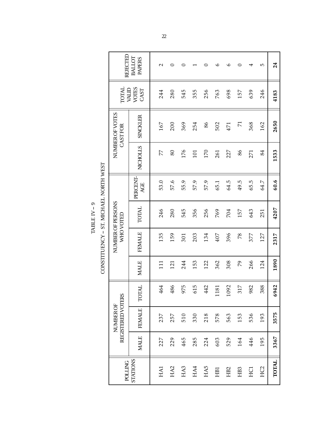CONSTITUENCY - ST. MICHAEL NORTH WEST CONSTITUENCY -- ST. MICHAEL NORTH WEST TABLE IV –  $9$  $\mathrm{TABLE~IV-9}$ 

| REJECTED                              | <b>BALLOT</b><br><b>PAPERS</b> | $\sim$ | 0               | 0    |      | 0    | $\circ$     | $\circ$         | 0               | 4    | 5               | 24           |
|---------------------------------------|--------------------------------|--------|-----------------|------|------|------|-------------|-----------------|-----------------|------|-----------------|--------------|
| TOTAL                                 | <b>VOTES</b><br>WALID<br>CAST  | 244    | 280             | 545  | 355  | 256  | 763         | 698             | 157             | 639  | 246             | 4183         |
| NUMBER OF VOTES<br>CASTFOR            | <b>SINCKLER</b>                | 167    | 200             | 369  | 254  | 86   | 502         | 471             | $\overline{7}$  | 368  | 162             | 2650         |
|                                       | NICHOLLS                       | 77     | 80              | 176  | 101  | 170  | 261         | 227             | 86              | 271  | 84              | 1533         |
|                                       | PERCENT-<br>AGE                | 53.0   | 57.6            | 55.9 | 57.9 | 57.9 | 65.1        | 64.5            | 49.5            | 65.5 | 64.7            | 60.6         |
| NUMBER OF PERSONS<br>WHO VOTED        | TOTAL                          | 246    | 280             | 545  | 356  | 256  | 769         | 704             | 157             | 643  | 251             | 4207         |
|                                       | <b>FEMALE</b>                  | 135    | 159             | 301  | 203  | 134  | 407         | 396             | 78              | 377  | 127             | 2317         |
|                                       | <b>MALE</b>                    | 11     | 121             | 244  | 153  | 122  | 362         | 308             | 20              | 266  | 124             | 1890         |
|                                       | <b>TOTAL</b>                   | 464    | 86<br>4         | 975  | 615  | 442  | 81<br>$\Xi$ | 1092            | 317             | 982  | 88<br>ო         | 6942         |
| REGISTERED VOTERS<br><b>NUMBER OF</b> | <b>FEMALE</b>                  | 237    | 257             | 510  | 330  | 218  | 578         | 563             | 153             | 536  | 193             | 3575         |
|                                       | <b>MALE</b>                    | 227    | 229             | 465  | 285  | 224  | 603         | 529             | 164             | 446  | 195             | 3367         |
| <b>DOLLING</b>                        | STATIONS                       | HA1    | HA <sub>2</sub> | HA3  | HA4  | HA5  | HB1         | HB <sub>2</sub> | HB <sub>3</sub> | ECH  | HC <sub>2</sub> | <b>TOTAL</b> |

22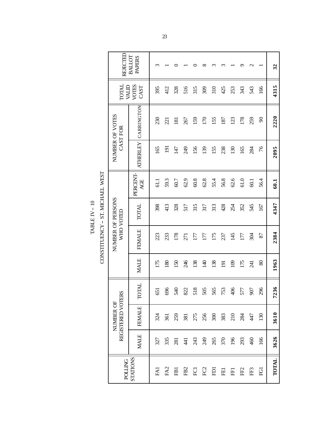$\begin{array}{lll} \text{CONSTITUENCY}-\text{ST. MICHAEL WEST} \end{array}$ CONSTITUENCY -- ST. MICHAEL WEST TABLE IV  $-$  10  $\,$ TABLE IV -- 10

 $\Gamma$ 

| REJECTED                       | <b>BALLOT</b><br><b>PAPERS</b> | $\omega$ |                 |                  |                 |      | ∞              | ო    |                  |       |                 |                 |               | 32    |
|--------------------------------|--------------------------------|----------|-----------------|------------------|-----------------|------|----------------|------|------------------|-------|-----------------|-----------------|---------------|-------|
| <b>TOTAL</b><br>MID            | <b>VOTES</b><br>CAST           | 395      | 412             | 328              | 516             | 315  | 309            | 310  | 425              | 253   | 343             | 543             | 166           | 4315  |
| NUMBER OF VOTES<br>CAST FOR    | CARRINGTON                     | 230      | 221             | $\overline{181}$ | 267             | 159  | 170            | 155  | 187              | 123   | 178             | 259             | $\mathcal{Q}$ | 2220  |
|                                | <b>ATHERLEY</b>                | 165      | 191             | 147              | 249             | 156  | 139            | 155  | 238              | 130   | 165             | 284             | 76            | 2095  |
|                                | PERCENT-<br>AGE                | 61.1     | 59.3            | 60.7             | 62.9            | 60.8 | 62.8           | 55.4 | 56.8             | 62.6  | $61.0$          | 60.1            | 56.4          | 60.1  |
| NUMBER OF PERSONS<br>WHO VOTED | <b>TOTAL</b>                   | 398      | 413             | 328              | 517             | 315  | 317            | 313  | 428              | 254   | 352             | 545             | 167           | 4347  |
|                                | <b>FEMALE</b>                  | 223      | 233             | 178              | 271             | I77  | 177            | 175  | 237              | 145   | 177             | 304             | 87            | 2384  |
|                                | <b>MALE</b>                    | 175      | 180             | 150              | 246             | 138  | $\overline{4}$ | 138  | $\overline{191}$ | 109   | 175             | $\overline{24}$ | 80            | 1963  |
|                                | <b>TOTAL</b>                   | 651      | 696             | 540              | 822             | 518  | 505            | 565  | 753              | 406   | 577             | 907             | 296           | 7236  |
| REGISTERED VOTERS<br>NUMBER OF | <b>FEMALE</b>                  | 324      | 361             | 259              | 381             | 275  | 256            | 300  | 383              | $210$ | 284             | 447             | 130           | 3610  |
|                                | <b>MALE</b>                    | 327      | 335             | 281              | $\overline{4}$  | 243  | 249            | 265  | 370              | 196   | 293             | 460             | 166           | 3626  |
| <b>POLLING</b>                 | STATIONS                       | FAI      | FA <sub>2</sub> | FB <sub>1</sub>  | FB <sub>2</sub> | FC1  | ${\rm FC2}$    | FDI  | FE1              | FF1   | FF <sub>2</sub> | FF3             | Ē             | TOTAL |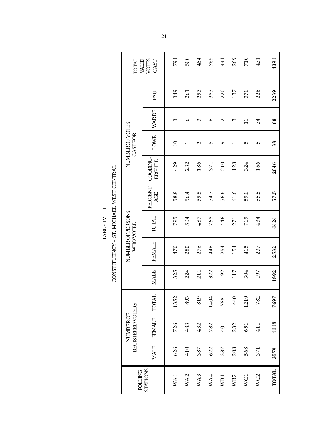CONSTITUENCY - ST. MICHAEL WEST CENTRAL CONSTITUENCY -- ST. MICHAEL WEST CENTRAL TABLE IV $-11$  $TABLE IV-11$ 

| <b>TOTAL</b><br><b>ALIAV</b>          | VOTES<br>CAST                    | 791             | 500     | 484  | 765     | 441  | 269             | 710             | 431             | 4391  |
|---------------------------------------|----------------------------------|-----------------|---------|------|---------|------|-----------------|-----------------|-----------------|-------|
|                                       | PAUL                             | 349             | 261     | 293  | 383     | 220  | 137             | 370             | 226             | 2239  |
|                                       | <b>WARDE</b>                     | 3               | $\circ$ | ω    | $\circ$ | 2    | ω               | $\Xi$           | 34              | 68    |
| NUMBER OF VOTES<br>CASTFOR            | LOWE                             | $\overline{10}$ |         | 2    | 5       | Q    |                 | 5               | 5               | 38    |
|                                       | <b>GOODING</b><br><b>EDGHILL</b> | 429             | 232     | 186  | 371     | 210  | 128             | 324             | 166             | 2046  |
|                                       | PERCENT-<br>AGE                  | 58.8            | 56.4    | 59.5 | 54.7    | 56.6 | 61.6            | 59.0            | 55.5            | 57.5  |
| NUMBER OF PERSONS<br>WHOVOTED         | <b>TOTAL</b>                     | 795             | 504     | 487  | 768     | 446  | 271             | 719             | 434             | 4424  |
|                                       | <b>FEMALE</b>                    | 470             | 280     | 276  | 446     | 254  | 154             | 415             | 237             | 2532  |
|                                       | <b>MALE</b>                      | 325             | 224     | 211  | 322     | 192  | 117             | 304             | 197             | 1892  |
|                                       | <b>LAIOT</b>                     | 1352            | 893     | 819  | 1404    | 788  | 440             | 1219            | 782             | 7697  |
| REGISTERED VOTERS<br><b>NUMBER OF</b> | FEMALE                           | 726             | 483     | 432  | 782     | 401  | 232             | 651             | 411             | 4118  |
|                                       | <b>MALE</b>                      | 626             | 410     | 387  | 622     | 387  | 208             | 568             | 371             | 3579  |
| <b>POLLING</b>                        | <b>STATIONS</b>                  | WA1             | WA2     | WA3  | WA4     | WB1  | WB <sub>2</sub> | WC <sub>1</sub> | WC <sub>2</sub> | TOTAL |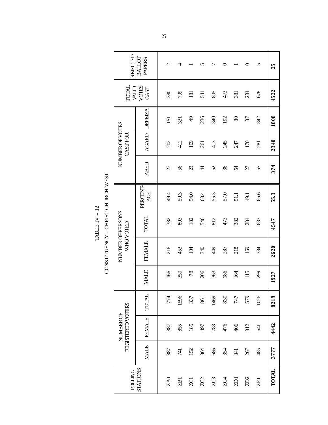CONSTITUENCY - CHRIST CHURCH WEST CONSTITUENCY -- CHRIST CHURCH WEST TABLE IV  $-$  12  $\,$ TABLE IV -- 12

| REJECTED                       | BALLOT<br><b>PAPERS</b> | $\mathrel{\sim}$ | 4               |                  | n               | ∼    | 0             |                | 0               | 5               | 25           |
|--------------------------------|-------------------------|------------------|-----------------|------------------|-----------------|------|---------------|----------------|-----------------|-----------------|--------------|
| <b>LATOT</b><br>MALID          | VOTES<br>CAST           | 380              | 799             | $\overline{181}$ | 541             | 805  | 473           | 381            | 284             | 678             | 4522         |
|                                | DEPEIZA                 | $\overline{5}$   | 331             | $\frac{1}{2}$    | 236             | 340  | 192           | $80\,$         | 87              | 342             | 1808         |
| NUMBER OF VOTES<br>CASTFOR     | <b>AGARD</b>            | 202              | 412             | 109              | 261             | 413  | 245           | 247            | 170             | $\overline{28}$ | 2340         |
|                                | <b>ABED</b>             | 27               | 56              | $\Omega$         | $\ddot{4}$      | 25   | $\mathcal{L}$ | X              | 27              | 55              | 374          |
|                                | PERCENT-<br>AGE         | 49.4             | 50.3            | 54.0             | 63.4            | 55.3 | 57.0          | 51.1           | 49.1            | 66.6            | 55.3         |
|                                | TOTAL                   | 382              | 803             | 182              | 546             | 812  | 473           | 382            | 284             | 683             | 4547         |
| NUMBER OF PERSONS<br>WHO VOIED | <b>FEMALE</b>           | 216              | 453             | 104              | 340             | 49   | 287           | 218            | 169             | 384             | 2620         |
|                                | <b>MALE</b>             | 166              | 350             | 78               | 206             | 363  | 186           | 164            | 115             | 299             | 1927         |
|                                | <b>TOTAL</b>            | 774              | 1596            | 337              | 861             | 1469 | 830           | 747            | 579             | 1026            | 8219         |
| REGISTERED VOTERS<br>NUMBER OF | <b>FEMALE</b>           | 387              | 855             | 185              | 497             | 783  | 476           | 406            | 312             | 541             | 4442         |
|                                | <b>MALE</b>             | 387              | 141             | 152              | 364             | 686  | 354           | $\overline{1}$ | 267             | 485             | 3777         |
| <b>POLLING</b>                 | <b>STATIONS</b>         | ZA <sub>1</sub>  | ZB <sub>1</sub> | $\overline{C}$   | ZC <sub>2</sub> | ZC3  | ZC4           | $\overline{2}$ | ZD <sub>2</sub> | 田               | <b>TOTAL</b> |
|                                |                         |                  |                 |                  |                 |      |               |                |                 |                 |              |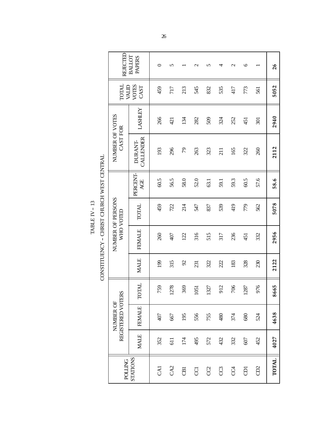CONSTITUENCY - CHRIST CHURCH WEST CENTRAL CONSTITUENCY -- CHRIST CHURCH WEST CENTRAL TABLE IV  $-$  13  $\,$ TABLE IV -- 13

|                                                                                                                                                                                                                                                | REJECTED                       | <b>BALLOT</b><br><b>PAPERS</b> | ○    | 5               |                | $\mathrel{\sim}$ | 5    | 4    | Z    | $\circ$ |      | 26           |
|------------------------------------------------------------------------------------------------------------------------------------------------------------------------------------------------------------------------------------------------|--------------------------------|--------------------------------|------|-----------------|----------------|------------------|------|------|------|---------|------|--------------|
|                                                                                                                                                                                                                                                | <b>TOTAL</b><br>MID            | VOTES<br>CAST                  | 459  | 717             | 213            | 545              | 832  | 535  | 417  | 773     | 561  | 5052         |
|                                                                                                                                                                                                                                                |                                | <b>LASHLEY</b>                 | 266  | 421             | 134            | 282              | 509  | 324  | 252  | 451     | 301  | 2940         |
| <br> <br> <br>                                                                                                                                                                                                                                 | NUMBER OF VOTES<br>CAST FOR    | CALLENDER<br>DURANT-           | 193  | 296             | 79             | 263              | 323  | 211  | 165  | 322     | 260  | 2112         |
|                                                                                                                                                                                                                                                |                                | PERCENT-<br>AGE                | 60.5 | 56.5            | 58.0           | 52.0             | 63.1 | 59.1 | 59.3 | 60.5    | 57.6 | 58.6         |
| $\sum$ . The same is the same in the same is a set of $\sum$ is the same in the same in the same is a set of $\sum$ is a set of $\sum$ is a set of $\sum$ is a set of $\sum$ is a set of $\sum$ is a set of $\sum$ is a set of $\sum$ is a set | NUMBER OF PERSONS<br>WHO VOTED | <b>TOTAL</b>                   | 459  | 722             | 214            | 547              | 837  | 539  | 419  | 779     | 562  | 5078         |
|                                                                                                                                                                                                                                                |                                | <b>FEMALE</b>                  | 260  | 407             | 122            | 316              | 515  | 317  | 236  | 451     | 332  | 2956         |
|                                                                                                                                                                                                                                                |                                | <b>MALE</b>                    | 199  | 315             | $\mathfrak{S}$ | 231              | 322  | 222  | 183  | 328     | 230  | 2122         |
|                                                                                                                                                                                                                                                |                                | <b>TOTAL</b>                   | 759  | 278             | 369            | 1051             | 327  | 912  | 706  | 1287    | 976  | 8665         |
|                                                                                                                                                                                                                                                | REGISTERED VOTERS<br>NUMBER OF | <b>FEMALE</b>                  | 407  | 667             | 195            | 556              | 755  | 480  | 374  | 680     | 524  | 4638         |
|                                                                                                                                                                                                                                                |                                | <b>MALE</b>                    | 352  | 611             | 174            | 495              | 572  | 432  | 332  | 607     | 452  | 4027         |
|                                                                                                                                                                                                                                                | <b>POLLING</b>                 | STATIONS                       | CAI  | CA <sub>2</sub> | $\overline{c}$ | g                | CC2  | CC3  | CC4  | ā       | GD2  | <b>TOTAL</b> |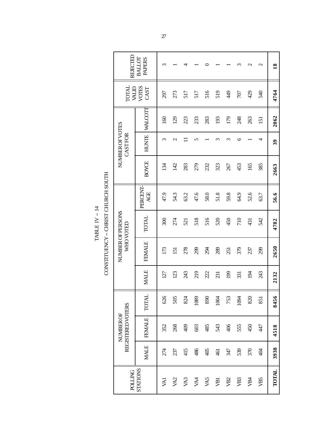TABLE IV – 14  $\,$  $\texttt{TABLE}\ \textbf{IV}-\textbf{14}$ 

|                                    | REJECTED                              | BALLOT<br><b>PAPERS</b> | $\sim$ |                  |      |      |      |                  |                 |                 | $\mathrel{\sim}$ | $\mathbf{\Omega}$ | $\overline{18}$ |
|------------------------------------|---------------------------------------|-------------------------|--------|------------------|------|------|------|------------------|-----------------|-----------------|------------------|-------------------|-----------------|
|                                    | <b>INIOL</b><br><b>ALID</b>           | VOTES<br>CAST           | 297    | 273              | 517  | 517  | 516  | 519              | 49              | 707             | 429              | 540               | 4764            |
|                                    |                                       | <b>WALCOTT</b>          | 160    | 129              | 223  | 233  | 283  | 193              | 179             | 248             | 263              | $\overline{151}$  | 2062            |
|                                    | NUMBER OF VOTES<br>CASTFOR            | <b>HUNTE</b>            | ς      | $\mathbf{\sim}$  |      | 5    |      | ς                | ω               | ৩               |                  | 4                 | 39              |
|                                    |                                       | BOYCE                   | 34     | 142              | 283  | 279  | 232  | 323              | 267             | 453             | 165              | 385               | 2663            |
| CONSTITUENCY - CHRIST CHURCH SOUTH |                                       | PERCENT-<br>AGE         | 47.9   | 54.3             | 63.2 | 47.6 | 58.0 | 51.8             | 59.8            | 64.9            | 52.6             | 63.7              | 56.6            |
|                                    | NUMBER OF PERSONS<br>WHO VOTED        | TOTAL                   | 300    | 274              | 521  | 518  | 516  | 520              | 450             | 710             | 431              | 542               | 4782            |
|                                    |                                       | <b>FEMALE</b>           | 173    | $\overline{151}$ | 278  | 299  | 294  | 289              | 251             | 379             | 237              | 299               | 2650            |
|                                    |                                       | <b>MALE</b>             | 127    | 123              | 243  | 219  | 222  | 231              | 199             | 331             | $\overline{5}$   | 243               | 2132            |
|                                    |                                       | <b>TOTAL</b>            | 626    | 505              | 824  | 1089 | 890  | 1004             | 753             | 1094            | 820              | 851               | 8456            |
|                                    | REGISTERED VOTERS<br><b>NUMBER OF</b> | <b>FEMALE</b>           | 352    | 268              | 409  | 603  | 485  | 543              | $rac{40}{5}$    | 555             | 450              | 47                | 4518            |
|                                    |                                       | MALE                    | 274    | 237              | 415  | 486  | 405  | $\overline{461}$ | 347             | 539             | 370              | ई                 | 3938            |
|                                    | <b>POLLING</b>                        | STATIONS                | Ķ      | VA <sub>2</sub>  | VA3  | VA4  | VA5  | уBI              | VB <sub>2</sub> | VB <sub>3</sub> | <b>NBN</b>       | VB5               | <b>TOTAL</b>    |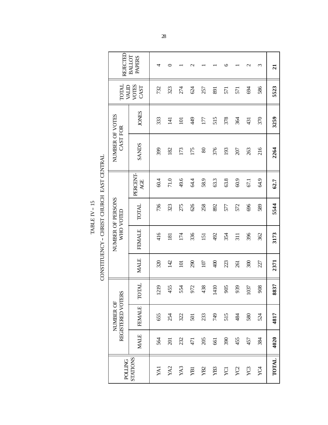CONSTITUENCY - CHRIST CHURCH EAST CENTRAL CONSTITUENCY -- CHRIST CHURCH EAST CENTRAL TABLE IV  $-$  15  $\,$ TABLE IV -- 15

|                                                                                                                                                                                                                                | REJECTED                       | <b>BALLOT</b><br><b>PAPERS</b> | 4    |                  |                  | $\sim$ |                 |             | ७    |                  | $\mathrel{\sim}$ | $\epsilon$ | $\overline{21}$ |
|--------------------------------------------------------------------------------------------------------------------------------------------------------------------------------------------------------------------------------|--------------------------------|--------------------------------|------|------------------|------------------|--------|-----------------|-------------|------|------------------|------------------|------------|-----------------|
|                                                                                                                                                                                                                                | TOTAL<br>MID                   | <b>VOTES</b><br>CAST           | 732  | 323              | 274              | 624    | 257             | 891         | 571  | 571              | 694              | 586        | 5523            |
|                                                                                                                                                                                                                                |                                | <b>JONES</b>                   | 333  | $\overline{141}$ | $\overline{101}$ | 449    | 177             | 515         | 378  | 364              | 431              | 370        | 3259            |
|                                                                                                                                                                                                                                | NUMBER OF VOTES<br>CAST FOR    | <b>SANDS</b>                   | 399  | 182              | 173              | 175    | $\rm 80$        | 376         | 193  | 207              | 263              | 216        | 2264            |
| where you we have a second the property of the second second the second second the second second the second second second second second second second second second second second second second second second second second se |                                | PERCENT-<br>AGE                | 60.4 | 71.0             | 49.6             | 64.4   | 58.9            | 63.3        | 63.8 | 60.9             | 67.1             | 64.9       | 62.7            |
|                                                                                                                                                                                                                                | NUMBER OF PERSONS              | <b>TOTAL</b>                   | 736  | 323              | 275              | 626    | 258             | 892         | 577  | 572              | 696              | 589        | 5544            |
|                                                                                                                                                                                                                                | WHO VOTED                      | <b>FEMALE</b>                  | 416  | $\overline{181}$ | 174              | 336    | 151             | 492         | 354  | $\overline{311}$ | 396              | 362        | 3173            |
|                                                                                                                                                                                                                                |                                | <b>MALE</b>                    | 320  | 142              | $\overline{101}$ | 290    | 107             | $rac{1}{4}$ | 223  | 261              | 300              | 227        | 2371            |
|                                                                                                                                                                                                                                |                                | <b>TOTAL</b>                   | 219  | 455              | 554              | 972    | 438             | 1410        | 905  | 939              | 1037             | 908        | 8837            |
|                                                                                                                                                                                                                                | REGISTERED VOTERS<br>NUMBER OF | <b>FEMALE</b>                  | 655  | 254              | 322              | 501    | 233             | <b>GFL</b>  | 515  | 484              | 580              | 524        | 4817            |
|                                                                                                                                                                                                                                |                                | <b>MALE</b>                    | 564  | $\overline{201}$ | 232              | 471    | 205             | 661         | 390  | 455              | 457              | 384        | 4020            |
|                                                                                                                                                                                                                                | <b>POLLING</b>                 | STATIONS                       | YAI  | YA2              | YA3              | g      | YB <sub>2</sub> | ${\bf YB3}$ | YCI  | $\chi_{\rm C2}$  | ${\rm YC}$       | YC4        | <b>TOTAL</b>    |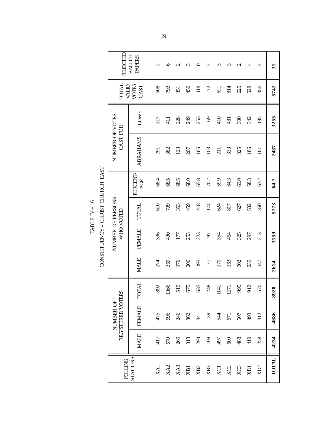CONSTITUENCY - CHRIST CHURCH EAST CONSTITUENCY -- CHRIST CHURCH EAST

| REJECTED                       | BALLOT<br><b>PAPERS</b> | $\mathcal{C}$  | $\circ$         | $\mathbf 2$     | ς    | 0          | $\mathbf{\sim}$ | ς          | ς    | $\mathbf 2$     | 4         | 4                | $\overline{31}$ |
|--------------------------------|-------------------------|----------------|-----------------|-----------------|------|------------|-----------------|------------|------|-----------------|-----------|------------------|-----------------|
| <b>INIOL</b><br><b>MTKA</b>    | <b>VOTES</b><br>CAST    | 608            | 793             | 351             | 456  | 418        | 172             | 621        | 814  | 625             | 528       | 356              | 5742            |
|                                | LOWE                    | 317            | $\frac{1}{41}$  | 228             | 249  | 253        | 69              | 410        | 481  | 300             | 342       | 195              | 3255            |
| NUMBER OF VOTES<br>CAST FOR    | <b>ABRAHAMS</b>         | $\overline{5}$ | 382             | 123             | 207  | 165        | 103             | 211        | 333  | 325             | 186       | $\overline{161}$ | 2487            |
|                                | PERCENT-<br>AGE         | 68.4           | 68.5            | 68.5            | 68.0 | 65.8       | 70.2            | 59.9       | 64.3 | 63.0            | 58.3      | 63.2             | 64.7            |
| NUMBER OF PERSONS<br>WHO VOTED | <b>TOTAL</b>            | 610            | 799             | 353             | 459  | 418        | 174             | 624        | 817  | 627             | 532       | 360              | 5773            |
|                                | <b>FEMALE</b>           | 336            | 430             | 177             | 253  | 223        | 57              | 354        | 454  | 325             | 297       | 213              | 3159            |
|                                | <b>MALE</b>             | 274            | 369             | 176             | 206  | 195        | 77              | 270        | 363  | 302             | 235       | 147              | 2614            |
|                                | <b>TOTAL</b>            | 892            | 991             | 515             | 675  | 635        | 248             | 1041       | 1271 | 995             | 912       | 570              | 8920            |
| REGISTERED VOTERS<br>NUMBER OF | <b>FEMALE</b>           | 475            | 596             | 246             | 362  | $\ddot{z}$ | 139             | 544        | 671  | 507             | 493       | 312              | 4686            |
|                                | <b>MALE</b>             | 417            | 570             | 269             | 313  | 294        | 109             | 497        | 600  | 488             | 419       | 258              | 4234            |
| <b>POLLING</b>                 | <b>STATIONS</b>         | $X$ A          | XA <sub>2</sub> | XA <sub>3</sub> | XВ1  | XB2        | XB <sub>3</sub> | <b>XC1</b> | XC2  | XC <sub>3</sub> | <b>KD</b> | $\Sigma$ CIX     | <b>TOTAL</b>    |

# TABLE IV –  $16$  $TABLE IV - 16$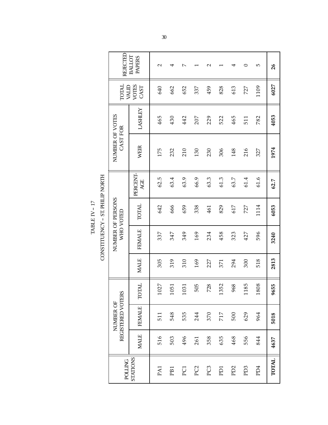$\begin{array}{lll} \text{CONSTITUENCY}-\text{ST. PHILI} \text{NORTH} \end{array}$ CONSTITUENCY -- ST. PHILIP NORTH TABLE IV – 17 TABLE IV -- 17

| REJECTED                       | <b>BALLOT</b><br><b>PAPERS</b> | $\mathbf{\sim}$ | 4    | $\overline{\phantom{0}}$ |                 | $\sim$          |            | 4               | 0               | 5               | 26           |
|--------------------------------|--------------------------------|-----------------|------|--------------------------|-----------------|-----------------|------------|-----------------|-----------------|-----------------|--------------|
| TOTAL<br><b>MID</b>            | <b>VOTES</b><br>CAST           | 640             | 662  | 652                      | 337             | 459             | 828        | 613             | 727             | 1109            | 6027         |
|                                | <b>LASHLEY</b>                 | 465             | 430  | 442                      | 207             | 229             | 522        | 465             | 511             | 782             | 4053         |
| NUMBER OF VOTES<br>CAST FOR    | <b>WEIR</b>                    | 175             | 232  | 210                      | 130             | 230             | 306        | 148             | 216             | 327             | 1974         |
|                                | PERCENT-<br>AGE                | 62.5            | 63.4 | 63.9                     | 66.9            | 63.3            | 61.3       | 63.7            | 61.4            | 61.6            | 62.7         |
| NUMBER OF PERSONS<br>WHO VOTED | TOTAL                          | 642             | 666  | 659                      | 338             | 461             | 829        | 617             | 727             | 1114            | 6053         |
|                                | <b>FEMALE</b>                  | 337             | 347  | 349                      | 169             | 234             | 458        | 323             | 427             | 596             | 3240         |
|                                | <b>MALE</b>                    | 305             | 319  | 310                      | 169             | 227             | 371        | 294             | 300             | 518             | 2813         |
|                                | <b>TOTAL</b>                   | 1027            | 1051 | 1031                     | 505             | 728             | 1352       | 968             | 1185            | 1808            | 9655         |
| REGISTERED VOTERS<br>NUMBER OF | <b>FEMALE</b>                  | 511             | 548  | 535                      | 244             | 370             | 717        | 500             | 629             | 964             | 5018         |
|                                | <b>MALE</b>                    | 516             | 503  | 496                      | 261             | 358             | 635        | 468             | 556             | 844             | 4637         |
| <b>POLLING</b>                 | STATIONS                       | PA1             | PB1  | PC1                      | PC <sub>2</sub> | PC <sub>3</sub> | <b>PD1</b> | PD <sub>2</sub> | PD <sub>3</sub> | PD <sub>4</sub> | <b>TOTAL</b> |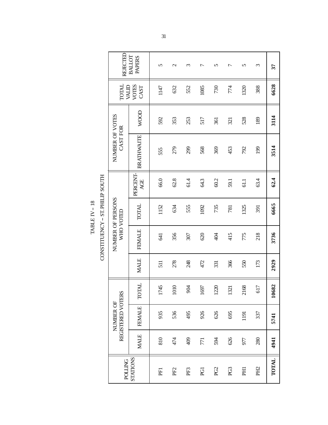$\begin{array}{lll} \text{CONSTITUENCY}-\text{ST.PHLIP SOUTH} \end{array}$ CONSTITUENCY -- ST. PHILIP SOUTH TABLE IV –  $18$ TABLE IV -- 18

| REJECTED                       | BALLOT<br>PAPERS     | 5    | $\mathbf 2$ | $\epsilon$      | 7    | 5               | ↽    | 5                     | Σ               | 37                 |
|--------------------------------|----------------------|------|-------------|-----------------|------|-----------------|------|-----------------------|-----------------|--------------------|
| <b>TOTAL</b><br><b>MID</b>     | <b>VOTES</b><br>CAST | 1147 | 632         | 552             | 1085 | 730             | 774  | 1320                  | 388             | 6628               |
|                                | WOOD                 | 592  | 353         | 253             | 517  | 361             | 321  | 528                   | 189             | 3114               |
| NUMBER OF VOTES<br>CAST FOR    | <b>BRATHWAITE</b>    | 555  | 279         | 299             | 568  | 369             | 453  | 792                   | 199             | 3514               |
|                                | PERCENT-<br>AGE      | 66.0 | 62.8        | 61.4            | 64.3 | 60.2            | 59.1 | 61.1                  | 63.4            | 62.4               |
| WHO VOTED                      | <b>TOTAL</b>         | 1152 | 634         | 555             | 1092 | 735             | 781  | 1325                  | 391             | 6665               |
| NUMBER OF PERSONS              | <b>FEMALE</b>        | 541  | 356         | 307             | 620  | ई               | 415  | 775                   | 218             | 3736               |
|                                | <b>MALE</b>          | 511  | 278         | 248             | 472  | 331             | 366  | 550                   | 173             | 2929               |
|                                | <b>TOTAL</b>         | 1745 | 1010        | 904             | 1697 | 1220            | 1321 | 168<br>$\overline{c}$ | 517             | 682<br>$\tilde{=}$ |
| REGISTERED VOTERS<br>NUMBER OF | <b>FEMALE</b>        | 935  | 536         | 495             | 926  | 626             | 695  | 1191                  | 337             | 5741               |
|                                | <b>MALE</b>          | 810  | 474         | 409             | 771  | 594             | 626  | 977                   | 280             | 4941               |
| <b>DOLTINC</b>                 | STATIONS             | PFI  | PF2         | PF <sub>3</sub> | g    | PG <sub>2</sub> | PG3  | <b>FHI</b>            | PH <sub>2</sub> | <b>TOTAL</b>       |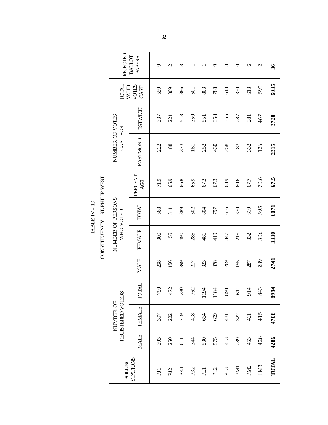CONSTITUENCY - ST. PHILIP WEST CONSTITUENCY -- ST. PHILIP WEST TABLE IV  $-$  19  $\,$ TABLE IV -- 19

|                       | REJECTED                       | <b>BALLOT</b><br><b>PAPERS</b> | ᡡ       | $\mathrel{\sim}$ | $\widetilde{\phantom{a}}$ |                 |            | ᡡ    | ς    | $\circ$         | $\circ$         | $\mathbf{\sim}$ | 36           |
|-----------------------|--------------------------------|--------------------------------|---------|------------------|---------------------------|-----------------|------------|------|------|-----------------|-----------------|-----------------|--------------|
|                       | TOTAL<br>MID                   | <b>VOTES</b><br>CAST           | 559     | 309              | 886                       | 501             | 803        | 788  | 613  | 370             | 613             | 593             | 6035         |
|                       |                                | <b>ESTWICK</b>                 | 337     | 221              | 513                       | 350             | 551        | 358  | 355  | 287             | 281             | 467             | 3720         |
|                       | NUMBER OF VOTES<br>CAST FOR    | EASTMOND                       | 222     | 88               | 373                       | 151             | 252        | 430  | 258  | 83              | 332             | 126             | 2315         |
| <b>TOTIL TERMITER</b> |                                | PERCENT-<br>AGE                | 71.9    | 65.9             | 66.8                      | 65.9            | 67.3       | 67.3 | 68.9 | 60.6            | 67.7            | 70.6            | 67.5         |
|                       | NUMBER OF PERSONS              | TOTAL                          | 568     | 311              | 889                       | 502             | 804        | 797  | 616  | 370             | 619             | 595             | 6071         |
| COLLET CHANGE         | WHO VOTED                      | <b>FEMALE</b>                  | 300     | 155              | 490                       | 285             | 481        | 419  | 347  | 215             | 332             | 306             | 3330         |
|                       |                                | <b>MALE</b>                    | 268     | 156              | 399                       | 217             | 323        | 378  | 269  | 155             | 287             | 289             | 2741         |
|                       |                                | <b>TOTAL</b>                   | 790     | 472              | 1330                      | 762             | 1194       | 1184 | 894  | $\overline{11}$ | 914             | 843             | 8994         |
|                       | REGISTERED VOTERS<br>NUMBER OF | <b>FEMALE</b>                  | 397     | 222              | 719                       | 418             | 664        | 609  | 481  | 322             | 461             | 415             | 4708         |
|                       |                                | <b>MALE</b>                    | 393     | 250              | 611                       | 34              | 530        | 575  | 413  | 289             | 453             | 428             | 4286         |
|                       | <b>POLLING</b>                 | STATIONS                       | $E_{1}$ | PJ <sub>2</sub>  | PKI                       | PK <sub>2</sub> | <b>PLI</b> | PL2  | PL3  | PM <sub>1</sub> | PM <sub>2</sub> | PM <sub>3</sub> | <b>TOTAL</b> |
|                       |                                |                                |         |                  |                           |                 |            |      |      |                 |                 |                 |              |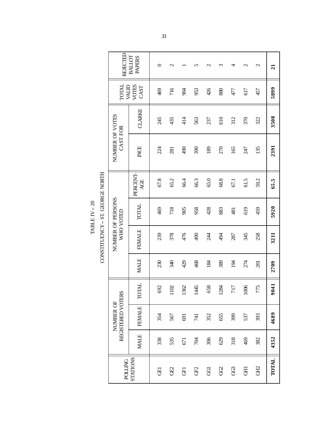CONSTITUENCY - ST. GEORGE NORTH CONSTITUENCY -- ST. GEORGE NORTH TABLE IV – 20 TABLE IV -- 20

| REJECTED<br><b>BALLOT</b><br><b>PAPERS</b><br>$\mathbf 2$<br>$\mathcal{L}$<br>Z<br>$\mathcal{L}$<br>0<br>n<br>$\epsilon$<br>4<br><b>TOTAL</b><br><b>VOTES</b><br><b>MID</b><br>CAST<br>716<br>426<br>469<br>880<br>904<br>953<br>617<br>477<br>457<br>CLARKE<br>NUMBER OF VOTES<br>610<br>435<br>414<br>312<br>370<br>245<br>563<br>237<br>322<br><b>CAST FOR</b><br>INCE<br>135<br>224<br>067<br>390<br>270<br>165<br>247<br>189<br>281<br>PERCENT-<br>67.8<br>68.8<br>65.2<br>66.4<br>66.3<br>65.0<br>61.5<br>59.2<br>AGE<br>67.1<br>NUMBER OF PERSONS<br><b>TOTAL</b><br>718<br>958<br>428<br>469<br>905<br>883<br>619<br>459<br>481<br>WHO VOTED<br><b>FEMALE</b><br>476<br>378<br>490<br>239<br>494<br>345<br>258<br>244<br>287<br><b>MALE</b><br>230<br>340<br>429<br>468<br>389<br>184<br>194<br>274<br>201<br><b>TOTAL</b><br>1006<br>775<br>692<br>1445<br>658<br>102<br>362<br>1284<br>717<br>REGISTERED VOTERS<br>NUMBER OF<br><b>FEMALE</b><br>352<br>655<br>399<br>393<br>567<br>537<br>354<br>691<br>741<br><b>MALE</b><br>338<br>306<br>318<br>535<br>629<br>469<br>382<br>704<br>671<br>STATIONS<br><b>POLLING</b><br><b>GHD</b><br>යු<br>යු<br>GE2<br>GF2<br>පි<br>동<br>呂<br>囝 |  |  |  |  |  |  |                |
|-------------------------------------------------------------------------------------------------------------------------------------------------------------------------------------------------------------------------------------------------------------------------------------------------------------------------------------------------------------------------------------------------------------------------------------------------------------------------------------------------------------------------------------------------------------------------------------------------------------------------------------------------------------------------------------------------------------------------------------------------------------------------------------------------------------------------------------------------------------------------------------------------------------------------------------------------------------------------------------------------------------------------------------------------------------------------------------------------------------------------------------------------------------------------------------------------|--|--|--|--|--|--|----------------|
|                                                                                                                                                                                                                                                                                                                                                                                                                                                                                                                                                                                                                                                                                                                                                                                                                                                                                                                                                                                                                                                                                                                                                                                                 |  |  |  |  |  |  | $\overline{a}$ |
|                                                                                                                                                                                                                                                                                                                                                                                                                                                                                                                                                                                                                                                                                                                                                                                                                                                                                                                                                                                                                                                                                                                                                                                                 |  |  |  |  |  |  | 5899           |
|                                                                                                                                                                                                                                                                                                                                                                                                                                                                                                                                                                                                                                                                                                                                                                                                                                                                                                                                                                                                                                                                                                                                                                                                 |  |  |  |  |  |  | 3508           |
|                                                                                                                                                                                                                                                                                                                                                                                                                                                                                                                                                                                                                                                                                                                                                                                                                                                                                                                                                                                                                                                                                                                                                                                                 |  |  |  |  |  |  | 2391           |
|                                                                                                                                                                                                                                                                                                                                                                                                                                                                                                                                                                                                                                                                                                                                                                                                                                                                                                                                                                                                                                                                                                                                                                                                 |  |  |  |  |  |  | 65.5           |
|                                                                                                                                                                                                                                                                                                                                                                                                                                                                                                                                                                                                                                                                                                                                                                                                                                                                                                                                                                                                                                                                                                                                                                                                 |  |  |  |  |  |  | 5920           |
|                                                                                                                                                                                                                                                                                                                                                                                                                                                                                                                                                                                                                                                                                                                                                                                                                                                                                                                                                                                                                                                                                                                                                                                                 |  |  |  |  |  |  | 3211           |
|                                                                                                                                                                                                                                                                                                                                                                                                                                                                                                                                                                                                                                                                                                                                                                                                                                                                                                                                                                                                                                                                                                                                                                                                 |  |  |  |  |  |  | 2709           |
|                                                                                                                                                                                                                                                                                                                                                                                                                                                                                                                                                                                                                                                                                                                                                                                                                                                                                                                                                                                                                                                                                                                                                                                                 |  |  |  |  |  |  | 140<br>٩       |
|                                                                                                                                                                                                                                                                                                                                                                                                                                                                                                                                                                                                                                                                                                                                                                                                                                                                                                                                                                                                                                                                                                                                                                                                 |  |  |  |  |  |  | 4689           |
|                                                                                                                                                                                                                                                                                                                                                                                                                                                                                                                                                                                                                                                                                                                                                                                                                                                                                                                                                                                                                                                                                                                                                                                                 |  |  |  |  |  |  | 4352           |
|                                                                                                                                                                                                                                                                                                                                                                                                                                                                                                                                                                                                                                                                                                                                                                                                                                                                                                                                                                                                                                                                                                                                                                                                 |  |  |  |  |  |  | <b>TOTAL</b>   |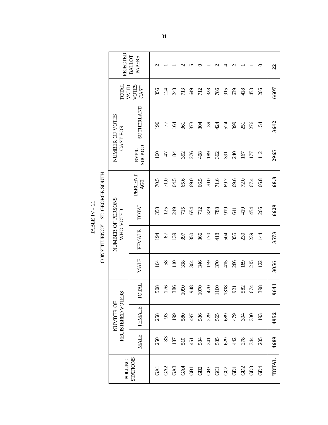CONSTITUENCY - ST. GEORGE SOUTH CONSTITUENCY -- ST. GEORGE SOUTH TABLE IV  $-$  21  $\,$ TABLE IV -- 21

| REJECTED                       | BALLOT<br>PAPERS       | $\mathbf{\sim}$ |      |                 |                                   |      |      |                   | $\sim$ |      | $\mathbf{\sim}$ |           |                 |                | 22           |
|--------------------------------|------------------------|-----------------|------|-----------------|-----------------------------------|------|------|-------------------|--------|------|-----------------|-----------|-----------------|----------------|--------------|
| <b>LAIOT</b><br>MID            | VOTES<br>CAST          | 356             | 124  | 248             | 713                               | 649  | 712  | 328               | 786    | 915  | 639             | 418       | 453             | 266            | 6607         |
| NUMBER OF VOTES<br>CAST FOR    | SUTHERLAND             | 96              | 77   | īg              | 361                               | 373  | ŠЯ   | 139               | 424    | 524  | 399             | 251       | 276             | 154            | 3642         |
|                                | <b>SUCKOO</b><br>BYER- | <b>SO</b>       | $47$ | 84              | 352                               | 276  | 408  | 189               | 362    | 391  | 240             | 167       | 177             | 112            | 2965         |
|                                | PERCENT-<br>AGE        | 70.5            | 71.0 | 64.5            | 65.6                              | 69.0 | 66.5 | 70.0              | 71.6   | 69.7 | 69.6            | 72.0      | 67.4            | 66.8           | 68.8         |
| NUMBER OF PERSONS<br>WHO VOTED | <b>TOTAL</b>           | 358             | 125  | 249             | 715                               | 654  | 712  | 329               | 788    | 919  | 541             | 419       | 454             | 266            | 6629         |
|                                | <b>FEMALE</b>          | ङ               | 67   | <b>99</b>       | 397                               | 350  | 366  | 170               | 418    | 504  | 355             | 230       | 239             | $\overline{4}$ | 3573         |
|                                | <b>MALE</b>            | I&              | 58   | $\overline{10}$ | 318                               | 304  | 346  | 159               | 370    | 415  | 286             | 189       | 215             | 122            | 3056         |
|                                | TOTAL                  | 508             | 176  | 386             | 1090                              | 948  | 1070 | 470               | 1100   | 1318 | 921             | 582       | 674             | 398            | 9641         |
| REGISTERED VOTERS<br>NUMBER OF | <b>FEMALE</b>          | 258             | 93   | <b>99</b>       | 580                               | 497  |      | 536<br>229<br>565 |        |      |                 | 9 S<br>25 | 330             | 193            | 4952         |
|                                | <b>MALE</b>            | 250             | 83   | 187             | $5.5 \times 5.5$ $3.5 \times 5.5$ |      |      |                   |        |      | 42              | 278       | ३स              | 205            | 4689         |
| <b>DOLLING</b>                 | STATIONS               | GAI             |      |                 | $33388888888$                     |      |      |                   |        |      |                 | GD2       | GD <sub>3</sub> | ŔБ             | <b>TOTAL</b> |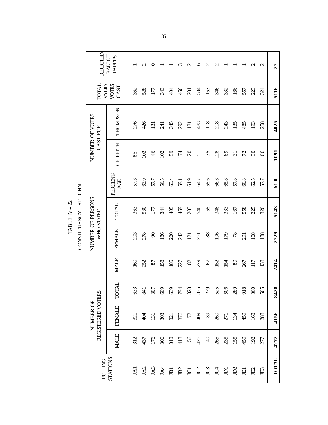TABLE IV – 22 TABLE IV -- 22

CONSTITUENCY - ST. JOHN CONSTITUENCY -- ST. JOHN

| REJECTED                       | <b>BALLOT</b><br><b>PAPERS</b> |      | $\mathbf{\sim}$ |                  |                 |      |      | $\sim$           | ७               | $\mathbf{\sim}$                              | $\mathbf{\mathsf{u}}$ |                |                 |        | $\mathcal{C}$            | $\mathcal{L}$ | 27                    |
|--------------------------------|--------------------------------|------|-----------------|------------------|-----------------|------|------|------------------|-----------------|----------------------------------------------|-----------------------|----------------|-----------------|--------|--------------------------|---------------|-----------------------|
| <b>TOTAL</b><br><b>MID</b>     | VOTES<br>CAST                  | 362  | 528             | 177              | 343             | 404  | 466  | $\overline{5}$   | 534             | 153                                          | 346                   | 332            | 166             | 557    | 223                      | 324           | 5116                  |
| NUMBER OF VOTES<br>CAST FOR    | THOMPSON                       | 276  | 426             | $\overline{131}$ | $\overline{24}$ | 345  | 292  | 181              | 483             | 118                                          | 218                   | 243            | 135             | 485    | 193                      | 258           | 4025                  |
|                                | <b>GRIFFITH</b>                | 86   | 102             | 46               | 102             | 59   | 174  | $\overline{c}$   | $\overline{51}$ | 35                                           | 128                   | $\, 89$        | $\overline{31}$ | 72     | $\overline{\mathcal{E}}$ | 66            | 1091                  |
|                                | PERCENT<br>ACE                 | 57.3 | 63.0            | 57.7             | 56.5            | 63.4 | 59.1 | 61.9             | 64.7            | 55.6                                         | 66.3                  | 65.8           | 57.8            | $60.8$ | 62.5                     | 57.7          | 61.0                  |
| NUMBER OF PERSONS<br>WHO VOTED | TOTAL                          | 363  | 530             | 177              | 344             | 405  | 469  | 203              | 540             | 155                                          | 348                   | 333            | 167             | 558    | 225                      | 326           | 5143                  |
|                                | <b>FEMALE</b>                  | 203  | 278             | $90\,$           | 186             | 220  | 242  | $\overline{121}$ | 261             | 88                                           | 196                   | 179            | 78              | 291    | 108                      | 188           | 2729                  |
|                                | <b>MALE</b>                    | 160  | 252             | 87               | 158             | 185  | 27   | 82               | 279             | 67                                           | 152                   | 154            | 89              | 267    | 117                      | 138           | 2414                  |
|                                | <b>TOTAL</b>                   | 633  | 841             | 307              | 609             | 639  | 794  | 328              | 835             | 279                                          | 525                   | 506            | 289             | 918    | 360                      | 565           | 28<br>$\overline{34}$ |
| REGISTERED VOTERS<br>NUMBER OF | <b>FEMALE</b>                  | 321  | 404             | $\overline{131}$ | 303             | 321  | 376  | 172              | 409             | 139                                          | 260                   | 271            | 134             | 459    | 168                      | 288           | 4156                  |
|                                | <b>MALE</b>                    | 312  | 437             | 176              | 306             | 318  | 418  | 156              | 426             | 140                                          | 265                   | 235            | 155             | 459    | 192                      | 277           | 4272                  |
| <b>DOLTIDE</b>                 | STATIONS                       | JA1  | JA2             | JA3              | JAA             | IB1  | JB2  | <b>U</b>         |                 | <b>C</b><br><b>C</b><br><b>C</b><br><b>C</b> |                       | $\overline{a}$ | $\mathbb{D}2$   | 囯      | JE <sub>2</sub>          | JE3           | <b>TOTAL</b>          |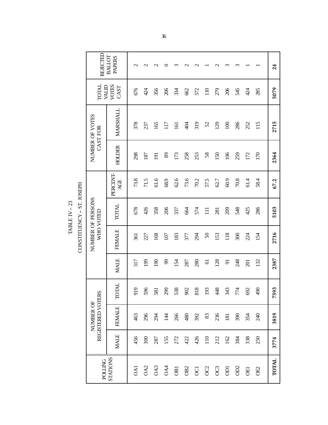TABLE IV – 23 TABLE IV -- 23

|                                                             | REJECTED                       | <b>BALLOT</b><br><b>PAPERS</b> | $\mathcal{L}$ | $\mathbf{\sim}$ | $\mathbf{\sim}$ | 0              | 3                | $\mathbf 2$     | $\mathbf{\sim}$ |                | $\mathbf 2$ | 3                       | 3        |      |                | 24    |
|-------------------------------------------------------------|--------------------------------|--------------------------------|---------------|-----------------|-----------------|----------------|------------------|-----------------|-----------------|----------------|-------------|-------------------------|----------|------|----------------|-------|
|                                                             | TOTAL<br><b>MID</b>            | <b>VOTES</b><br>CAST           | 676           | 424             | 356             | 206            | 334              | 662             | 572             | 110            | 279         | 206                     | 545      | 424  | 285            | 5079  |
|                                                             | NUMBER OF VOTES<br>CAST FOR    | MARSHALL                       | 378           | 237             | 165             | 117            | $\overline{161}$ | 404             | 319             | 52             | 129         | 100                     | 286      | 252  | 115            | 2715  |
|                                                             | <b>HOLDER</b>                  | 298                            | 187           | $\overline{5}$  | 89              | 173            | 258              | 253             | 58              | 150            | 106         | 259                     | 172      | 170  | 2364           |       |
|                                                             |                                | PERCENT-<br>AGE                | 73.8          | 71.5            | 61.6            | 68.9           | 62.6             | 73.6            | 70.2            | 57.5           | 62.7        | 60.9                    | $70.8\,$ | 61.4 | 58.4           | 67.2  |
| CONSTITUENCY - ST. JOSEPH<br>NUMBER OF PERSONS<br>WHO VOTED | TOTAL                          | 678                            | 426           | 358             | 206             | 337            | 664              | 574             | $\Xi$           | 281            | 209         | 548                     | 425      | 286  | 5103           |       |
|                                                             |                                | FEMALE                         | 361           | 227             | 168             | 107            | 183              | 377             | 294             | $50\,$         | 153         | 118                     | 300      | 224  | 154            | 2716  |
|                                                             |                                | <b>MALE</b>                    | 317           | 199             | 190             | 66             | 154              | 287             | 280             | $\overline{6}$ | 128         | $\overline{5}$          | 248      | 201  | 132            | 2387  |
|                                                             |                                | <b>TOTAL</b>                   | 919           | 596             | 581             | 299            | 538              | 902             | 818             | 193            | 448         | 343                     | 774      | 692  | 490            | 7593  |
|                                                             | REGISTERED VOTERS<br>NUMBER OF | <b>FEMALE</b>                  | 463           | 296             | 294             | $\overline{4}$ | 266              | 480             | 392             | 83             | 236         | 181                     | 390      | 354  | $\mathfrak{g}$ | 3819  |
|                                                             |                                | <b>MALE</b>                    | 456           | 300             | 287             | 155            | 272              | 422             | 426             | 110            | 212         | 162                     | 384      | 338  | 250            | 3774  |
|                                                             | <b>POLLING</b>                 | STATIONS                       | 0A1           | OA2             | OA3             | OA4            | OВI              | OB <sub>2</sub> | $\overline{C}$  | OC2            | OC3         | $\overline{\mathsf{D}}$ | OD2      | OEI  | OE2            | TOTAL |
|                                                             |                                |                                |               |                 |                 |                |                  |                 |                 |                |             |                         |          |      |                |       |

36